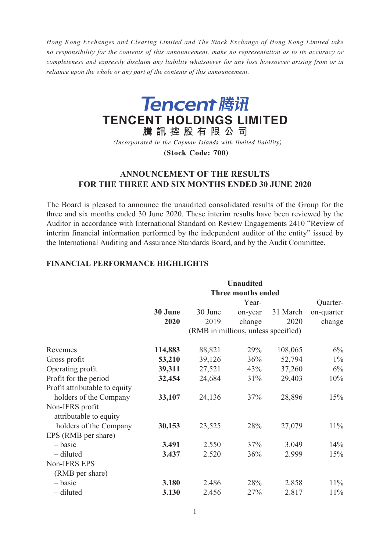*Hong Kong Exchanges and Clearing Limited and The Stock Exchange of Hong Kong Limited take no responsibility for the contents of this announcement, make no representation as to its accuracy or completeness and expressly disclaim any liability whatsoever for any loss howsoever arising from or in reliance upon the whole or any part of the contents of this announcement.*



(Incorporated in the Cayman Islands with limited liability)

(Stock Code: 700)

# **ANNOUNCEMENT OF THE RESULTS FOR THE THREE AND SIX MONTHS ENDED 30 JUNE 2020**

The Board is pleased to announce the unaudited consolidated results of the Group for the three and six months ended 30 June 2020. These interim results have been reviewed by the Auditor in accordance with International Standard on Review Engagements 2410 "Review of interim financial information performed by the independent auditor of the entity" issued by the International Auditing and Assurance Standards Board, and by the Audit Committee.

## **FINANCIAL PERFORMANCE HIGHLIGHTS**

|                                  | <b>Unaudited</b><br><b>Three months ended</b> |                                     |          |            |  |  |
|----------------------------------|-----------------------------------------------|-------------------------------------|----------|------------|--|--|
|                                  | Year-<br>Quarter-                             |                                     |          |            |  |  |
| 30 June                          | 30 June                                       | on-year                             | 31 March | on-quarter |  |  |
| 2020                             | 2019                                          | change                              | 2020     | change     |  |  |
|                                  |                                               | (RMB in millions, unless specified) |          |            |  |  |
| 114,883<br>Revenues              | 88,821                                        | 29%                                 | 108,065  | 6%         |  |  |
| 53,210<br>Gross profit           | 39,126                                        | 36%                                 | 52,794   | $1\%$      |  |  |
| Operating profit<br>39,311       | 27,521                                        | 43%                                 | 37,260   | 6%         |  |  |
| Profit for the period<br>32,454  | 24,684                                        | 31%                                 | 29,403   | 10%        |  |  |
| Profit attributable to equity    |                                               |                                     |          |            |  |  |
| holders of the Company<br>33,107 | 24,136                                        | 37%                                 | 28,896   | 15%        |  |  |
| Non-IFRS profit                  |                                               |                                     |          |            |  |  |
| attributable to equity           |                                               |                                     |          |            |  |  |
| holders of the Company<br>30,153 | 23,525                                        | 28%                                 | 27,079   | 11%        |  |  |
| EPS (RMB per share)              |                                               |                                     |          |            |  |  |
| $-basic$<br>3.491                | 2.550                                         | 37%                                 | 3.049    | 14%        |  |  |
| - diluted<br>3.437               | 2.520                                         | 36%                                 | 2.999    | 15%        |  |  |
| Non-IFRS EPS                     |                                               |                                     |          |            |  |  |
| (RMB per share)                  |                                               |                                     |          |            |  |  |
| - basic<br>3.180                 | 2.486                                         | 28%                                 | 2.858    | 11%        |  |  |
| - diluted<br>3.130               | 2.456                                         | 27%                                 | 2.817    | 11%        |  |  |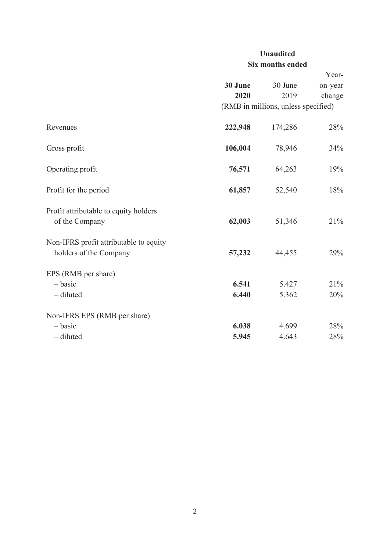# **Unaudited Six months ended**

|                                                                  |                |                                     | Year-      |
|------------------------------------------------------------------|----------------|-------------------------------------|------------|
|                                                                  | 30 June        | 30 June                             | on-year    |
|                                                                  | 2020           | 2019                                | change     |
|                                                                  |                | (RMB in millions, unless specified) |            |
| Revenues                                                         | 222,948        | 174,286                             | 28%        |
| Gross profit                                                     | 106,004        | 78,946                              | 34%        |
| Operating profit                                                 | 76,571         | 64,263                              | 19%        |
| Profit for the period                                            | 61,857         | 52,540                              | 18%        |
| Profit attributable to equity holders<br>of the Company          | 62,003         | 51,346                              | 21%        |
| Non-IFRS profit attributable to equity<br>holders of the Company | 57,232         | 44,455                              | 29%        |
| EPS (RMB per share)<br>$-basic$<br>- diluted                     | 6.541<br>6.440 | 5.427<br>5.362                      | 21%<br>20% |
| Non-IFRS EPS (RMB per share)                                     |                |                                     |            |
| $-basic$                                                         | 6.038          | 4.699                               | 28%        |
| - diluted                                                        | 5.945          | 4.643                               | 28%        |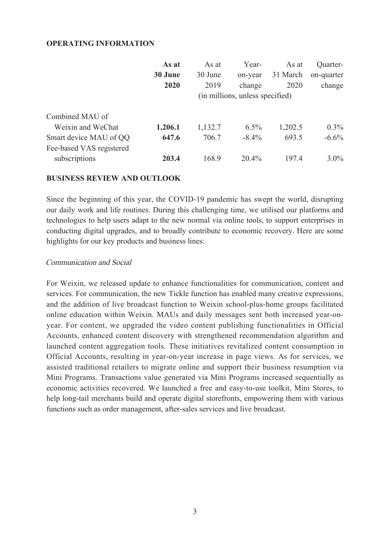## **OPERATING INFORMATION**

|                          | As at   | As at                           | Year-    | As at    | Quarter-   |  |
|--------------------------|---------|---------------------------------|----------|----------|------------|--|
|                          | 30 June | 30 June                         | on-year  | 31 March | on-quarter |  |
|                          | 2020    | 2019                            | change   | 2020     | change     |  |
|                          |         | (in millions, unless specified) |          |          |            |  |
| Combined MAU of          |         |                                 |          |          |            |  |
| Weixin and WeChat        | 1,206.1 | 1,132.7                         | 6.5%     | 1,202.5  | $0.3\%$    |  |
| Smart device MAU of QQ   | 647.6   | 706.7                           | $-8.4\%$ | 693.5    | $-6.6\%$   |  |
| Fee-based VAS registered |         |                                 |          |          |            |  |
| subscriptions            | 203.4   | 168.9                           | $20.4\%$ | 197.4    | $3.0\%$    |  |

## **BUSINESS REVIEW AND OUTLOOK**

Since the beginning of this year, the COVID-19 pandemic has swept the world, disrupting our daily work and life routines. During this challenging time, we utilised our platforms and technologies to help users adapt to the new normal via online tools, to support enterprises in conducting digital upgrades, and to broadly contribute to economic recovery. Here are some highlights for our key products and business lines:

## Communication and Social

For Weixin, we released update to enhance functionalities for communication, content and services. For communication, the new Tickle function has enabled many creative expressions, and the addition of live broadcast function to Weixin school-plus-home groups facilitated online education within Weixin. MAUs and daily messages sent both increased year-onyear. For content, we upgraded the video content publishing functionalities in Official Accounts, enhanced content discovery with strengthened recommendation algorithm and launched content aggregation tools. These initiatives revitalized content consumption in Official Accounts, resulting in year-on-year increase in page views. As for services, we assisted traditional retailers to migrate online and support their business resumption via Mini Programs. Transactions value generated via Mini Programs increased sequentially as economic activities recovered. We launched a free and easy-to-use toolkit, Mini Stores, to help long-tail merchants build and operate digital storefronts, empowering them with various functions such as order management, after-sales services and live broadcast.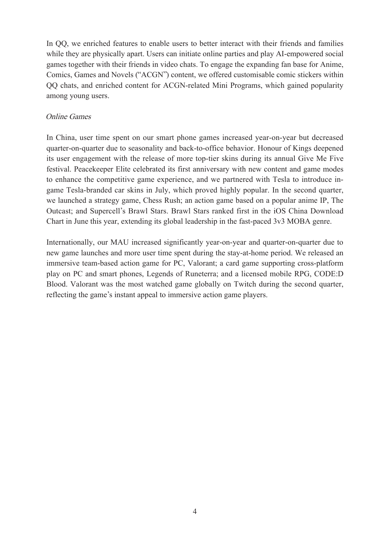In QQ, we enriched features to enable users to better interact with their friends and families while they are physically apart. Users can initiate online parties and play AI-empowered social games together with their friends in video chats. To engage the expanding fan base for Anime, Comics, Games and Novels ("ACGN") content, we offered customisable comic stickers within QQ chats, and enriched content for ACGN-related Mini Programs, which gained popularity among young users.

## Online Games

In China, user time spent on our smart phone games increased year-on-year but decreased quarter-on-quarter due to seasonality and back-to-office behavior. Honour of Kings deepened its user engagement with the release of more top-tier skins during its annual Give Me Five festival. Peacekeeper Elite celebrated its first anniversary with new content and game modes to enhance the competitive game experience, and we partnered with Tesla to introduce ingame Tesla-branded car skins in July, which proved highly popular. In the second quarter, we launched a strategy game, Chess Rush; an action game based on a popular anime IP, The Outcast; and Supercell's Brawl Stars. Brawl Stars ranked first in the iOS China Download Chart in June this year, extending its global leadership in the fast-paced 3v3 MOBA genre.

Internationally, our MAU increased significantly year-on-year and quarter-on-quarter due to new game launches and more user time spent during the stay-at-home period. We released an immersive team-based action game for PC, Valorant; a card game supporting cross-platform play on PC and smart phones, Legends of Runeterra; and a licensed mobile RPG, CODE:D Blood. Valorant was the most watched game globally on Twitch during the second quarter, reflecting the game's instant appeal to immersive action game players.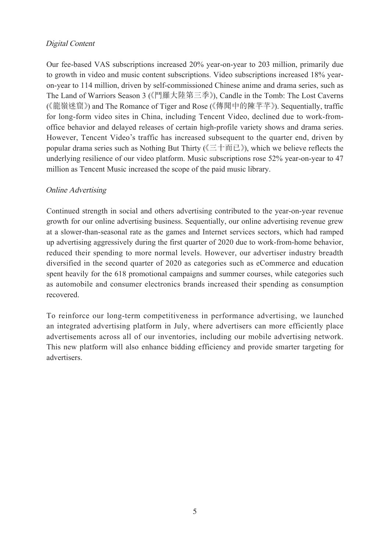# Digital Content

Our fee-based VAS subscriptions increased 20% year-on-year to 203 million, primarily due to growth in video and music content subscriptions. Video subscriptions increased 18% yearon-year to 114 million, driven by self-commissioned Chinese anime and drama series, such as The Land of Warriors Season 3 (《鬥羅大陸第三季》), Candle in the Tomb: The Lost Caverns (《龍嶺迷窟》) and The Romance of Tiger and Rose (《傳聞中的陳芊芊》). Sequentially, traffic for long-form video sites in China, including Tencent Video, declined due to work-fromoffice behavior and delayed releases of certain high-profile variety shows and drama series. However, Tencent Video's traffic has increased subsequent to the quarter end, driven by popular drama series such as Nothing But Thirty (《三十而已》), which we believe reflects the underlying resilience of our video platform. Music subscriptions rose 52% year-on-year to 47 million as Tencent Music increased the scope of the paid music library.

# Online Advertising

Continued strength in social and others advertising contributed to the year-on-year revenue growth for our online advertising business. Sequentially, our online advertising revenue grew at a slower-than-seasonal rate as the games and Internet services sectors, which had ramped up advertising aggressively during the first quarter of 2020 due to work-from-home behavior, reduced their spending to more normal levels. However, our advertiser industry breadth diversified in the second quarter of 2020 as categories such as eCommerce and education spent heavily for the 618 promotional campaigns and summer courses, while categories such as automobile and consumer electronics brands increased their spending as consumption recovered.

To reinforce our long-term competitiveness in performance advertising, we launched an integrated advertising platform in July, where advertisers can more efficiently place advertisements across all of our inventories, including our mobile advertising network. This new platform will also enhance bidding efficiency and provide smarter targeting for advertisers.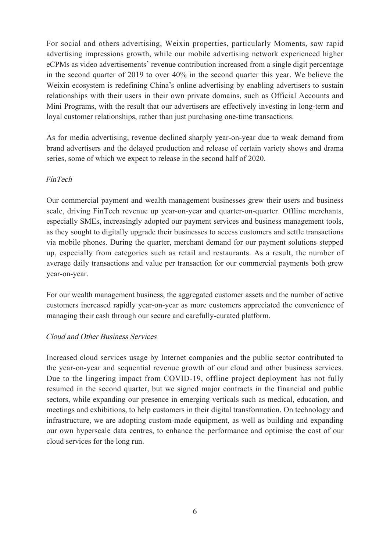For social and others advertising, Weixin properties, particularly Moments, saw rapid advertising impressions growth, while our mobile advertising network experienced higher eCPMs as video advertisements' revenue contribution increased from a single digit percentage in the second quarter of 2019 to over 40% in the second quarter this year. We believe the Weixin ecosystem is redefining China's online advertising by enabling advertisers to sustain relationships with their users in their own private domains, such as Official Accounts and Mini Programs, with the result that our advertisers are effectively investing in long-term and loyal customer relationships, rather than just purchasing one-time transactions.

As for media advertising, revenue declined sharply year-on-year due to weak demand from brand advertisers and the delayed production and release of certain variety shows and drama series, some of which we expect to release in the second half of 2020.

## FinTech

Our commercial payment and wealth management businesses grew their users and business scale, driving FinTech revenue up year-on-year and quarter-on-quarter. Offline merchants, especially SMEs, increasingly adopted our payment services and business management tools, as they sought to digitally upgrade their businesses to access customers and settle transactions via mobile phones. During the quarter, merchant demand for our payment solutions stepped up, especially from categories such as retail and restaurants. As a result, the number of average daily transactions and value per transaction for our commercial payments both grew year-on-year.

For our wealth management business, the aggregated customer assets and the number of active customers increased rapidly year-on-year as more customers appreciated the convenience of managing their cash through our secure and carefully-curated platform.

## Cloud and Other Business Services

Increased cloud services usage by Internet companies and the public sector contributed to the year-on-year and sequential revenue growth of our cloud and other business services. Due to the lingering impact from COVID-19, offline project deployment has not fully resumed in the second quarter, but we signed major contracts in the financial and public sectors, while expanding our presence in emerging verticals such as medical, education, and meetings and exhibitions, to help customers in their digital transformation. On technology and infrastructure, we are adopting custom-made equipment, as well as building and expanding our own hyperscale data centres, to enhance the performance and optimise the cost of our cloud services for the long run.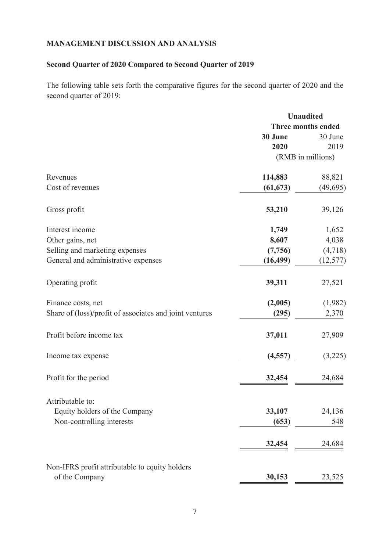## **MANAGEMENT DISCUSSION AND ANALYSIS**

# **Second Quarter of 2020 Compared to Second Quarter of 2019**

The following table sets forth the comparative figures for the second quarter of 2020 and the second quarter of 2019:

|                                                         | <b>Unaudited</b>          |                   |  |
|---------------------------------------------------------|---------------------------|-------------------|--|
|                                                         | <b>Three months ended</b> |                   |  |
|                                                         | 30 June                   | 30 June           |  |
|                                                         | 2020                      | 2019              |  |
|                                                         |                           | (RMB in millions) |  |
| Revenues                                                | 114,883                   | 88,821            |  |
| Cost of revenues                                        | (61, 673)                 | (49, 695)         |  |
| Gross profit                                            | 53,210                    | 39,126            |  |
| Interest income                                         | 1,749                     | 1,652             |  |
| Other gains, net                                        | 8,607                     | 4,038             |  |
| Selling and marketing expenses                          | (7,756)                   | (4,718)           |  |
| General and administrative expenses                     | (16, 499)                 | (12, 577)         |  |
| Operating profit                                        | 39,311                    | 27,521            |  |
| Finance costs, net                                      | (2,005)                   | (1,982)           |  |
| Share of (loss)/profit of associates and joint ventures | (295)                     | 2,370             |  |
| Profit before income tax                                | 37,011                    | 27,909            |  |
| Income tax expense                                      | (4, 557)                  | (3,225)           |  |
| Profit for the period                                   | 32,454                    | 24,684            |  |
| Attributable to:                                        |                           |                   |  |
| Equity holders of the Company                           | 33,107                    | 24,136            |  |
| Non-controlling interests                               | (653)                     | 548               |  |
|                                                         | 32,454                    | 24,684            |  |
| Non-IFRS profit attributable to equity holders          |                           |                   |  |
| of the Company                                          | 30,153                    | 23,525            |  |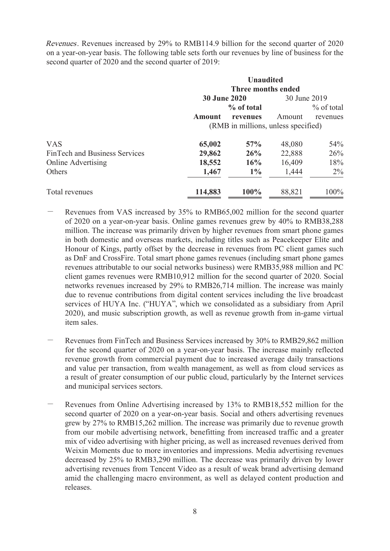Revenues. Revenues increased by 29% to RMB114.9 billion for the second quarter of 2020 on a year-on-year basis. The following table sets forth our revenues by line of business for the second quarter of 2020 and the second quarter of 2019:

|                                      | <b>Unaudited</b><br>Three months ended |            |              |               |
|--------------------------------------|----------------------------------------|------------|--------------|---------------|
|                                      | <b>30 June 2020</b>                    |            | 30 June 2019 |               |
|                                      |                                        | % of total |              | $\%$ of total |
|                                      | <b>Amount</b>                          | revenues   | Amount       | revenues      |
|                                      | (RMB in millions, unless specified)    |            |              |               |
| <b>VAS</b>                           | 65,002                                 | 57%        | 48,080       | 54%           |
| <b>FinTech and Business Services</b> | 29,862                                 | 26%        | 22,888       | 26%           |
| <b>Online Advertising</b>            | 18,552                                 | 16%        | 16,409       | 18%           |
| Others                               | 1,467                                  | $1\%$      | 1,444        | $2\%$         |
| Total revenues                       | 114,883                                | 100%       | 88,821       | 100%          |

- Revenues from VAS increased by 35% to RMB65,002 million for the second quarter of 2020 on a year-on-year basis. Online games revenues grew by 40% to RMB38,288 million. The increase was primarily driven by higher revenues from smart phone games in both domestic and overseas markets, including titles such as Peacekeeper Elite and Honour of Kings, partly offset by the decrease in revenues from PC client games such as DnF and CrossFire. Total smart phone games revenues (including smart phone games revenues attributable to our social networks business) were RMB35,988 million and PC client games revenues were RMB10,912 million for the second quarter of 2020. Social networks revenues increased by 29% to RMB26,714 million. The increase was mainly due to revenue contributions from digital content services including the live broadcast services of HUYA Inc. ("HUYA", which we consolidated as a subsidiary from April 2020), and music subscription growth, as well as revenue growth from in-game virtual item sales.
- Revenues from FinTech and Business Services increased by 30% to RMB29,862 million for the second quarter of 2020 on a year-on-year basis. The increase mainly reflected revenue growth from commercial payment due to increased average daily transactions and value per transaction, from wealth management, as well as from cloud services as a result of greater consumption of our public cloud, particularly by the Internet services and municipal services sectors.
- Revenues from Online Advertising increased by 13% to RMB18,552 million for the second quarter of 2020 on a year-on-year basis. Social and others advertising revenues grew by 27% to RMB15,262 million. The increase was primarily due to revenue growth from our mobile advertising network, benefitting from increased traffic and a greater mix of video advertising with higher pricing, as well as increased revenues derived from Weixin Moments due to more inventories and impressions. Media advertising revenues decreased by 25% to RMB3,290 million. The decrease was primarily driven by lower advertising revenues from Tencent Video as a result of weak brand advertising demand amid the challenging macro environment, as well as delayed content production and releases.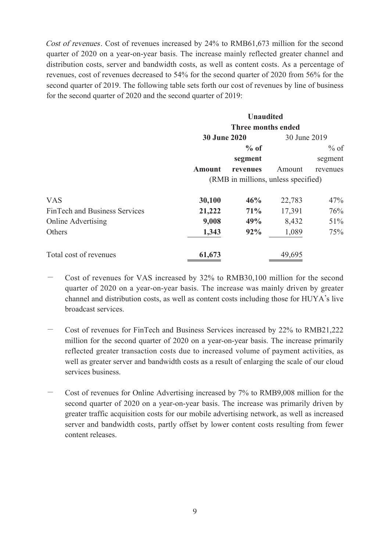Cost of revenues. Cost of revenues increased by 24% to RMB61,673 million for the second quarter of 2020 on a year-on-year basis. The increase mainly reflected greater channel and distribution costs, server and bandwidth costs, as well as content costs. As a percentage of revenues, cost of revenues decreased to 54% for the second quarter of 2020 from 56% for the second quarter of 2019. The following table sets forth our cost of revenues by line of business for the second quarter of 2020 and the second quarter of 2019:

|                               | <b>Unaudited</b><br>Three months ended |          |              |          |
|-------------------------------|----------------------------------------|----------|--------------|----------|
|                               |                                        |          |              |          |
|                               | <b>30 June 2020</b>                    |          | 30 June 2019 |          |
|                               |                                        | $%$ of   |              | $%$ of   |
|                               |                                        | segment  |              | segment  |
|                               | <b>Amount</b>                          | revenues | Amount       | revenues |
|                               | (RMB in millions, unless specified)    |          |              |          |
| <b>VAS</b>                    | 30,100                                 | 46%      | 22,783       | 47%      |
| FinTech and Business Services | 21,222                                 | 71%      | 17,391       | 76%      |
| <b>Online Advertising</b>     | 9,008                                  | 49%      | 8,432        | 51%      |
| Others                        | 1,343                                  | 92%      | 1,089        | 75%      |
| Total cost of revenues        | 61,673                                 |          | 49,695       |          |

- Cost of revenues for VAS increased by 32% to RMB30,100 million for the second quarter of 2020 on a year-on-year basis. The increase was mainly driven by greater channel and distribution costs, as well as content costs including those for HUYA's live broadcast services.
- Cost of revenues for FinTech and Business Services increased by 22% to RMB21,222 million for the second quarter of 2020 on a year-on-year basis. The increase primarily reflected greater transaction costs due to increased volume of payment activities, as well as greater server and bandwidth costs as a result of enlarging the scale of our cloud services business.
- Cost of revenues for Online Advertising increased by 7% to RMB9,008 million for the second quarter of 2020 on a year-on-year basis. The increase was primarily driven by greater traffic acquisition costs for our mobile advertising network, as well as increased server and bandwidth costs, partly offset by lower content costs resulting from fewer content releases.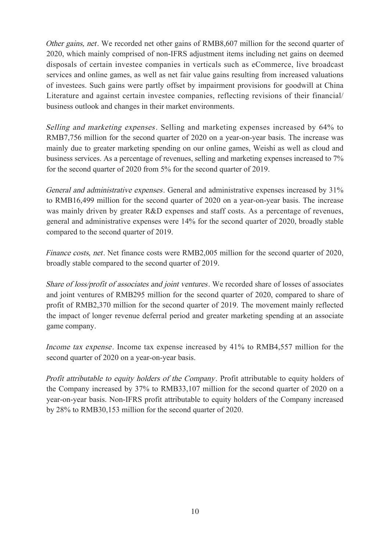Other gains, net. We recorded net other gains of RMB8,607 million for the second quarter of 2020, which mainly comprised of non-IFRS adjustment items including net gains on deemed disposals of certain investee companies in verticals such as eCommerce, live broadcast services and online games, as well as net fair value gains resulting from increased valuations of investees. Such gains were partly offset by impairment provisions for goodwill at China Literature and against certain investee companies, reflecting revisions of their financial/ business outlook and changes in their market environments.

Selling and marketing expenses. Selling and marketing expenses increased by 64% to RMB7,756 million for the second quarter of 2020 on a year-on-year basis. The increase was mainly due to greater marketing spending on our online games, Weishi as well as cloud and business services. As a percentage of revenues, selling and marketing expenses increased to 7% for the second quarter of 2020 from 5% for the second quarter of 2019.

General and administrative expenses. General and administrative expenses increased by 31% to RMB16,499 million for the second quarter of 2020 on a year-on-year basis. The increase was mainly driven by greater R&D expenses and staff costs. As a percentage of revenues, general and administrative expenses were 14% for the second quarter of 2020, broadly stable compared to the second quarter of 2019.

Finance costs, net. Net finance costs were RMB2,005 million for the second quarter of 2020, broadly stable compared to the second quarter of 2019.

Share of loss/profit of associates and joint ventures. We recorded share of losses of associates and joint ventures of RMB295 million for the second quarter of 2020, compared to share of profit of RMB2,370 million for the second quarter of 2019. The movement mainly reflected the impact of longer revenue deferral period and greater marketing spending at an associate game company.

Income tax expense. Income tax expense increased by 41% to RMB4,557 million for the second quarter of 2020 on a year-on-year basis.

Profit attributable to equity holders of the Company. Profit attributable to equity holders of the Company increased by 37% to RMB33,107 million for the second quarter of 2020 on a year-on-year basis. Non-IFRS profit attributable to equity holders of the Company increased by 28% to RMB30,153 million for the second quarter of 2020.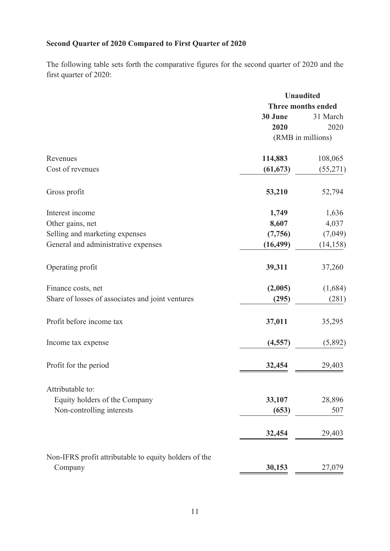# **Second Quarter of 2020 Compared to First Quarter of 2020**

The following table sets forth the comparative figures for the second quarter of 2020 and the first quarter of 2020:

|                                                       | <b>Unaudited</b>   |                   |  |
|-------------------------------------------------------|--------------------|-------------------|--|
|                                                       | Three months ended |                   |  |
|                                                       | 30 June            | 31 March          |  |
|                                                       | 2020               | 2020              |  |
|                                                       |                    | (RMB in millions) |  |
| Revenues                                              | 114,883            | 108,065           |  |
| Cost of revenues                                      | (61, 673)          | (55,271)          |  |
| Gross profit                                          | 53,210             | 52,794            |  |
| Interest income                                       | 1,749              | 1,636             |  |
| Other gains, net                                      | 8,607              | 4,037             |  |
| Selling and marketing expenses                        | (7,756)            | (7,049)           |  |
| General and administrative expenses                   | (16, 499)          | (14, 158)         |  |
| Operating profit                                      | 39,311             | 37,260            |  |
| Finance costs, net                                    | (2,005)            | (1,684)           |  |
| Share of losses of associates and joint ventures      | (295)              | (281)             |  |
| Profit before income tax                              | 37,011             | 35,295            |  |
| Income tax expense                                    | (4, 557)           | (5,892)           |  |
| Profit for the period                                 | 32,454             | 29,403            |  |
| Attributable to:                                      |                    |                   |  |
| Equity holders of the Company                         | 33,107             | 28,896            |  |
| Non-controlling interests                             | (653)              | 507               |  |
|                                                       | 32,454             | 29,403            |  |
| Non-IFRS profit attributable to equity holders of the |                    |                   |  |
| Company                                               | 30,153             | 27,079            |  |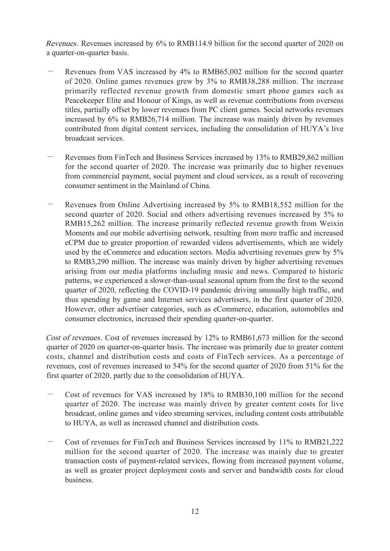Revenues. Revenues increased by 6% to RMB114.9 billion for the second quarter of 2020 on a quarter-on-quarter basis.

- Revenues from VAS increased by 4% to RMB65,002 million for the second quarter of 2020. Online games revenues grew by 3% to RMB38,288 million. The increase primarily reflected revenue growth from domestic smart phone games such as Peacekeeper Elite and Honour of Kings, as well as revenue contributions from overseas titles, partially offset by lower revenues from PC client games. Social networks revenues increased by 6% to RMB26,714 million. The increase was mainly driven by revenues contributed from digital content services, including the consolidation of HUYA's live broadcast services.
- Revenues from FinTech and Business Services increased by 13% to RMB29,862 million for the second quarter of 2020. The increase was primarily due to higher revenues from commercial payment, social payment and cloud services, as a result of recovering consumer sentiment in the Mainland of China.
- Revenues from Online Advertising increased by 5% to RMB18,552 million for the second quarter of 2020. Social and others advertising revenues increased by 5% to RMB15,262 million. The increase primarily reflected revenue growth from Weixin Moments and our mobile advertising network, resulting from more traffic and increased eCPM due to greater proportion of rewarded videos advertisements, which are widely used by the eCommerce and education sectors. Media advertising revenues grew by 5% to RMB3,290 million. The increase was mainly driven by higher advertising revenues arising from our media platforms including music and news. Compared to historic patterns, we experienced a slower-than-usual seasonal upturn from the first to the second quarter of 2020, reflecting the COVID-19 pandemic driving unusually high traffic, and thus spending by game and Internet services advertisers, in the first quarter of 2020. However, other advertiser categories, such as eCommerce, education, automobiles and consumer electronics, increased their spending quarter-on-quarter.

Cost of revenues. Cost of revenues increased by 12% to RMB61,673 million for the second quarter of 2020 on quarter-on-quarter basis. The increase was primarily due to greater content costs, channel and distribution costs and costs of FinTech services. As a percentage of revenues, cost of revenues increased to 54% for the second quarter of 2020 from 51% for the first quarter of 2020, partly due to the consolidation of HUYA.

- Cost of revenues for VAS increased by 18% to RMB30,100 million for the second quarter of 2020. The increase was mainly driven by greater content costs for live broadcast, online games and video streaming services, including content costs attributable to HUYA, as well as increased channel and distribution costs.
- Cost of revenues for FinTech and Business Services increased by 11% to RMB21,222 million for the second quarter of 2020. The increase was mainly due to greater transaction costs of payment-related services, flowing from increased payment volume, as well as greater project deployment costs and server and bandwidth costs for cloud business.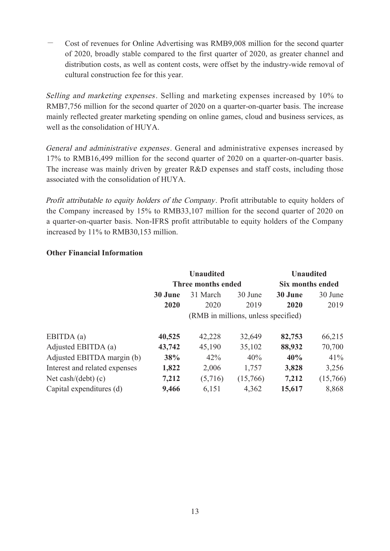- Cost of revenues for Online Advertising was RMB9,008 million for the second quarter of 2020, broadly stable compared to the first quarter of 2020, as greater channel and distribution costs, as well as content costs, were offset by the industry-wide removal of cultural construction fee for this year.

Selling and marketing expenses. Selling and marketing expenses increased by 10% to RMB7,756 million for the second quarter of 2020 on a quarter-on-quarter basis. The increase mainly reflected greater marketing spending on online games, cloud and business services, as well as the consolidation of HUYA.

General and administrative expenses. General and administrative expenses increased by 17% to RMB16,499 million for the second quarter of 2020 on a quarter-on-quarter basis. The increase was mainly driven by greater R&D expenses and staff costs, including those associated with the consolidation of HUYA.

Profit attributable to equity holders of the Company. Profit attributable to equity holders of the Company increased by 15% to RMB33,107 million for the second quarter of 2020 on a quarter-on-quarter basis. Non-IFRS profit attributable to equity holders of the Company increased by 11% to RMB30,153 million.

# **Other Financial Information**

|                               | <b>Unaudited</b>                      |                    |          | <b>Unaudited</b> |          |  |
|-------------------------------|---------------------------------------|--------------------|----------|------------------|----------|--|
|                               |                                       | Three months ended |          | Six months ended |          |  |
|                               | 31 March<br>30 June<br><b>30 June</b> |                    |          | 30 June          | 30 June  |  |
|                               | 2020                                  | 2020               | 2019     | 2020             | 2019     |  |
|                               | (RMB in millions, unless specified)   |                    |          |                  |          |  |
| EBITDA (a)                    | 40,525                                | 42,228             | 32,649   | 82,753           | 66,215   |  |
| Adjusted EBITDA (a)           | 43,742                                | 45,190             | 35,102   | 88,932           | 70,700   |  |
| Adjusted EBITDA margin (b)    | 38%                                   | 42%                | 40%      | 40%              | 41%      |  |
| Interest and related expenses | 1,822                                 | 2,006              | 1,757    | 3,828            | 3,256    |  |
| Net cash/ $(debt)$ (c)        | 7,212                                 | (5,716)            | (15,766) | 7,212            | (15,766) |  |
| Capital expenditures (d)      | 9,466                                 | 6,151              | 4,362    | 15,617           | 8,868    |  |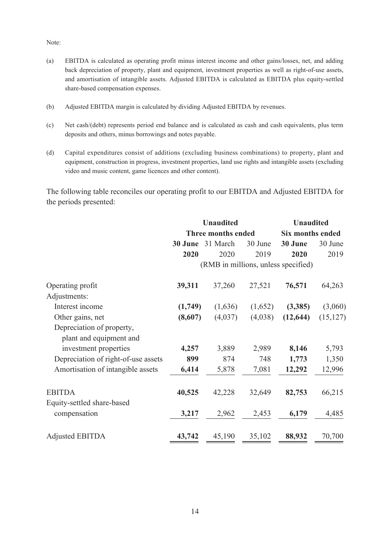Note:

- (a) EBITDA is calculated as operating profit minus interest income and other gains/losses, net, and adding back depreciation of property, plant and equipment, investment properties as well as right-of-use assets, and amortisation of intangible assets. Adjusted EBITDA is calculated as EBITDA plus equity-settled share-based compensation expenses.
- (b) Adjusted EBITDA margin is calculated by dividing Adjusted EBITDA by revenues.
- (c) Net cash/(debt) represents period end balance and is calculated as cash and cash equivalents, plus term deposits and others, minus borrowings and notes payable.
- (d) Capital expenditures consist of additions (excluding business combinations) to property, plant and equipment, construction in progress, investment properties, land use rights and intangible assets (excluding video and music content, game licences and other content).

The following table reconciles our operating profit to our EBITDA and Adjusted EBITDA for the periods presented:

|                                                      |                                | <b>Unaudited</b>          | <b>Unaudited</b> |                                     |           |
|------------------------------------------------------|--------------------------------|---------------------------|------------------|-------------------------------------|-----------|
|                                                      |                                | <b>Three months ended</b> |                  | Six months ended                    |           |
|                                                      | 31 March<br>30 June<br>30 June |                           |                  | 30 June                             | 30 June   |
|                                                      | 2020                           | 2020                      | 2019             | 2020                                | 2019      |
|                                                      |                                |                           |                  | (RMB in millions, unless specified) |           |
| Operating profit                                     | 39,311                         | 37,260                    | 27,521           | 76,571                              | 64,263    |
| Adjustments:                                         |                                |                           |                  |                                     |           |
| Interest income                                      | (1,749)                        | (1,636)                   | (1,652)          | (3,385)                             | (3,060)   |
| Other gains, net                                     | (8,607)                        | (4,037)                   | (4,038)          | (12, 644)                           | (15, 127) |
| Depreciation of property,<br>plant and equipment and |                                |                           |                  |                                     |           |
| investment properties                                | 4,257                          | 3,889                     | 2,989            | 8,146                               | 5,793     |
| Depreciation of right-of-use assets                  | 899                            | 874                       | 748              | 1,773                               | 1,350     |
| Amortisation of intangible assets                    | 6,414                          | 5,878                     | 7,081            | 12,292                              | 12,996    |
| <b>EBITDA</b>                                        | 40,525                         | 42,228                    | 32,649           | 82,753                              | 66,215    |
| Equity-settled share-based                           |                                |                           |                  |                                     |           |
| compensation                                         | 3,217                          | 2,962                     | 2,453            | 6,179                               | 4,485     |
| <b>Adjusted EBITDA</b>                               | 43,742                         | 45,190                    | 35,102           | 88,932                              | 70,700    |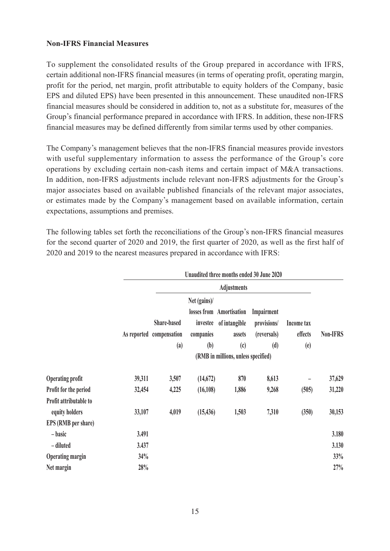## **Non-IFRS Financial Measures**

To supplement the consolidated results of the Group prepared in accordance with IFRS, certain additional non-IFRS financial measures (in terms of operating profit, operating margin, profit for the period, net margin, profit attributable to equity holders of the Company, basic EPS and diluted EPS) have been presented in this announcement. These unaudited non-IFRS financial measures should be considered in addition to, not as a substitute for, measures of the Group's financial performance prepared in accordance with IFRS. In addition, these non-IFRS financial measures may be defined differently from similar terms used by other companies.

The Company's management believes that the non-IFRS financial measures provide investors with useful supplementary information to assess the performance of the Group's core operations by excluding certain non-cash items and certain impact of M&A transactions. In addition, non-IFRS adjustments include relevant non-IFRS adjustments for the Group's major associates based on available published financials of the relevant major associates, or estimates made by the Company's management based on available information, certain expectations, assumptions and premises.

The following tables set forth the reconciliations of the Group's non-IFRS financial measures for the second quarter of 2020 and 2019, the first quarter of 2020, as well as the first half of 2020 and 2019 to the nearest measures prepared in accordance with IFRS:

|                                          |        | Unaudited three months ended 30 June 2020      |                                              |                                                                                                                            |                                                 |                              |          |
|------------------------------------------|--------|------------------------------------------------|----------------------------------------------|----------------------------------------------------------------------------------------------------------------------------|-------------------------------------------------|------------------------------|----------|
|                                          |        | <b>Adjustments</b>                             |                                              |                                                                                                                            |                                                 |                              |          |
|                                          |        | Share-based<br>As reported compensation<br>(a) | Net (gains)/<br>investee<br>companies<br>(b) | losses from Amortisation<br>of intangible<br>assets<br>$\left( \mathfrak{c}\right)$<br>(RMB in millions, unless specified) | Impairment<br>provisions/<br>(reversals)<br>(d) | Income tax<br>effects<br>(e) | Non-IFRS |
| <b>Operating profit</b>                  | 39,311 | 3,507                                          | (14, 672)                                    | 870                                                                                                                        | 8,613                                           |                              | 37,629   |
| Profit for the period                    | 32,454 | 4,225                                          | (16, 108)                                    | 1,886                                                                                                                      | 9,268                                           | (505)                        | 31,220   |
| Profit attributable to<br>equity holders | 33,107 | 4,019                                          | (15, 436)                                    | 1,503                                                                                                                      | 7,310                                           | (350)                        | 30,153   |
| EPS (RMB per share)                      |        |                                                |                                              |                                                                                                                            |                                                 |                              |          |
| – basic                                  | 3.491  |                                                |                                              |                                                                                                                            |                                                 |                              | 3.180    |
| - diluted                                | 3.437  |                                                |                                              |                                                                                                                            |                                                 |                              | 3.130    |
| <b>Operating margin</b>                  | 34%    |                                                |                                              |                                                                                                                            |                                                 |                              | 33%      |
| Net margin                               | 28%    |                                                |                                              |                                                                                                                            |                                                 |                              | 27%      |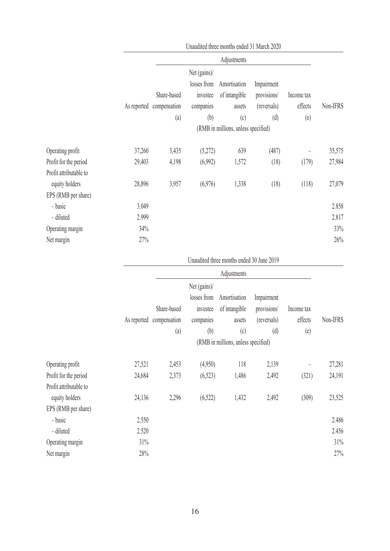|                        |        |                          |              | Unaudited three months ended 31 March 2020 |             |            |          |
|------------------------|--------|--------------------------|--------------|--------------------------------------------|-------------|------------|----------|
|                        |        |                          |              | Adjustments                                |             |            |          |
|                        |        |                          | Net (gains)/ |                                            |             |            |          |
|                        |        |                          | losses from  | Amortisation                               | Impairment  |            |          |
|                        |        | Share-based              | investee     | of intangible                              | provisions/ | Income tax |          |
|                        |        | As reported compensation | companies    | assets                                     | (reversals) | effects    | Non-IFRS |
|                        |        | (a)                      | (b)          | (c)                                        | (d)         | (e)        |          |
|                        |        |                          |              | (RMB in millions, unless specified)        |             |            |          |
| Operating profit       | 37,260 | 3,435                    | (5,272)      | 639                                        | (487)       |            | 35,575   |
| Profit for the period  | 29,403 | 4,198                    | (6,992)      | 1,572                                      | (18)        | (179)      | 27,984   |
| Profit attributable to |        |                          |              |                                            |             |            |          |
| equity holders         | 28,896 | 3,957                    | (6,976)      | 1,338                                      | (18)        | (118)      | 27,079   |
| EPS (RMB per share)    |        |                          |              |                                            |             |            |          |
| $-basic$               | 3.049  |                          |              |                                            |             |            | 2.858    |
| - diluted              | 2.999  |                          |              |                                            |             |            | 2.817    |
| Operating margin       | 34%    |                          |              |                                            |             |            | 33%      |
| Net margin             | 27%    |                          |              |                                            |             |            | 26%      |
|                        |        |                          |              | Unaudited three months ended 30 June 2019  |             |            |          |
|                        |        |                          |              | Adjustments                                |             |            |          |
|                        |        |                          | Net (gains)/ |                                            |             |            |          |
|                        |        |                          | losses from  | Amortisation                               | Impairment  |            |          |
|                        |        | Share-based              | investee     | of intangible                              | provisions/ | Income tax |          |
|                        |        | As reported compensation | companies    | assets                                     | (reversals) | effects    | Non-IFRS |
|                        |        | (a)                      | (b)          | (c)                                        | (d)         | (e)        |          |
|                        |        |                          |              | (RMB in millions, unless specified)        |             |            |          |
| Operating profit       | 27,521 | 2,453                    | (4,950)      | 118                                        | 2,139       |            | 27,281   |
| Profit for the period  | 24,684 | 2,373                    | (6, 523)     | 1,486                                      | 2,492       | (321)      | 24,191   |
| Profit attributable to |        |                          |              |                                            |             |            |          |
| equity holders         | 24,136 | 2,296                    | (6, 522)     | 1,432                                      | 2,492       | (309)      | 23,525   |
| EPS (RMB per share)    |        |                          |              |                                            |             |            |          |

| EPS (RMB per share) |       |       |
|---------------------|-------|-------|
| $-basic$            | 2.550 | 2.486 |
| - diluted           | 2.520 | 2.456 |
| Operating margin    | 31%   | 31%   |
| Net margin          | 28%   | 27%   |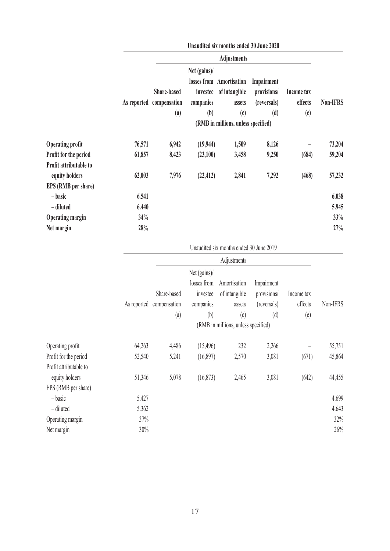| Unaudited six months ended 30 June 2020 |                                  |                                     |                                      |                                                                                                   |                                              |          |  |
|-----------------------------------------|----------------------------------|-------------------------------------|--------------------------------------|---------------------------------------------------------------------------------------------------|----------------------------------------------|----------|--|
| <b>Adjustments</b>                      |                                  |                                     |                                      |                                                                                                   |                                              |          |  |
|                                         | Share-based<br>$\left( a\right)$ | Net $(gains)$ /<br>companies<br>(b) | assets<br>$\left( \mathrm{c}\right)$ | Impairment<br>provisions/<br>(reversals)<br>(d)                                                   | Income tax<br>effects<br>(e)                 | Non-IFRS |  |
| 76,571                                  | 6,942                            |                                     | 1,509                                | 8,126                                                                                             |                                              | 73,204   |  |
| 61,857                                  | 8,423                            |                                     | 3,458                                | 9,250                                                                                             | (684)                                        | 59,204   |  |
|                                         |                                  |                                     |                                      |                                                                                                   |                                              | 57,232   |  |
|                                         |                                  |                                     |                                      |                                                                                                   |                                              |          |  |
| 6.541                                   |                                  |                                     |                                      |                                                                                                   |                                              | 6.038    |  |
| 6.440                                   |                                  |                                     |                                      |                                                                                                   |                                              | 5.945    |  |
| 34%                                     |                                  |                                     |                                      |                                                                                                   |                                              | 33%      |  |
| 28%                                     |                                  |                                     |                                      |                                                                                                   |                                              | 27%      |  |
|                                         | 62,003                           | As reported compensation<br>7,976   |                                      | losses from Amortisation<br>investee of intangible<br>(19, 944)<br>(23,100)<br>(22, 412)<br>2,841 | (RMB in millions, unless specified)<br>7,292 | (468)    |  |

# Unaudited six months ended 30 June 2019

|                        |             |                                     |               | Adjustments   |             |            |          |  |  |
|------------------------|-------------|-------------------------------------|---------------|---------------|-------------|------------|----------|--|--|
|                        |             |                                     | Net $(gains)$ |               |             |            |          |  |  |
|                        |             |                                     | losses from   | Amortisation  | Impairment  |            |          |  |  |
|                        |             | Share-based                         | investee      | of intangible | provisions/ | Income tax |          |  |  |
|                        | As reported | compensation                        | companies     | assets        | (reversals) | effects    | Non-IFRS |  |  |
|                        |             | (a)                                 | (b)           | (c)           | (d)         | (e)        |          |  |  |
|                        |             | (RMB in millions, unless specified) |               |               |             |            |          |  |  |
| Operating profit       | 64,263      | 4,486                               | (15, 496)     | 232           | 2,266       |            | 55,751   |  |  |
| Profit for the period  | 52,540      | 5,241                               | (16, 897)     | 2,570         | 3,081       | (671)      | 45,864   |  |  |
| Profit attributable to |             |                                     |               |               |             |            |          |  |  |
| equity holders         | 51,346      | 5,078                               | (16, 873)     | 2,465         | 3,081       | (642)      | 44,455   |  |  |
| EPS (RMB per share)    |             |                                     |               |               |             |            |          |  |  |
| $-basic$               | 5.427       |                                     |               |               |             |            | 4.699    |  |  |
| - diluted              | 5.362       |                                     |               |               |             |            | 4.643    |  |  |
| Operating margin       | 37%         |                                     |               |               |             |            | 32%      |  |  |
| Net margin             | 30%         |                                     |               |               |             |            | 26%      |  |  |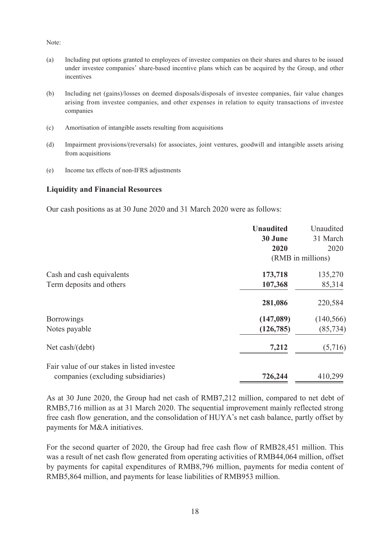Note:

- (a) Including put options granted to employees of investee companies on their shares and shares to be issued under investee companies' share-based incentive plans which can be acquired by the Group, and other incentives
- (b) Including net (gains)/losses on deemed disposals/disposals of investee companies, fair value changes arising from investee companies, and other expenses in relation to equity transactions of investee companies
- (c) Amortisation of intangible assets resulting from acquisitions
- (d) Impairment provisions/(reversals) for associates, joint ventures, goodwill and intangible assets arising from acquisitions
- (e) Income tax effects of non-IFRS adjustments

## **Liquidity and Financial Resources**

Our cash positions as at 30 June 2020 and 31 March 2020 were as follows:

|                                             | <b>Unaudited</b> | Unaudited         |
|---------------------------------------------|------------------|-------------------|
|                                             | 30 June          | 31 March          |
|                                             | 2020             | 2020              |
|                                             |                  | (RMB in millions) |
| Cash and cash equivalents                   | 173,718          | 135,270           |
| Term deposits and others                    | 107,368          | 85,314            |
|                                             | 281,086          | 220,584           |
| <b>Borrowings</b>                           | (147,089)        | (140, 566)        |
| Notes payable                               | (126, 785)       | (85, 734)         |
| Net cash/(debt)                             | 7,212            | (5,716)           |
| Fair value of our stakes in listed investee |                  |                   |
| companies (excluding subsidiaries)          | 726,244          | 410,299           |

As at 30 June 2020, the Group had net cash of RMB7,212 million, compared to net debt of RMB5,716 million as at 31 March 2020. The sequential improvement mainly reflected strong free cash flow generation, and the consolidation of HUYA's net cash balance, partly offset by payments for M&A initiatives.

For the second quarter of 2020, the Group had free cash flow of RMB28,451 million. This was a result of net cash flow generated from operating activities of RMB44,064 million, offset by payments for capital expenditures of RMB8,796 million, payments for media content of RMB5,864 million, and payments for lease liabilities of RMB953 million.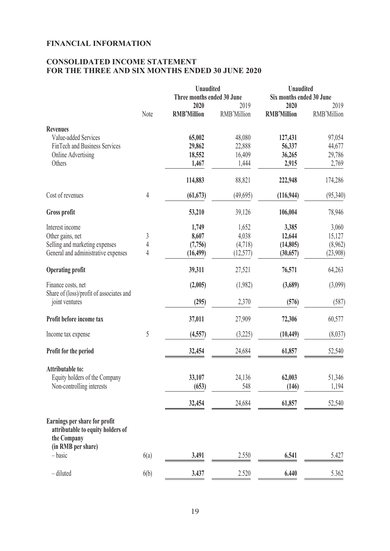## **FINANCIAL INFORMATION**

# **CONSOLIDATED INCOME STATEMENT FOR THE THREE AND SIX MONTHS ENDED 30 JUNE 2020**

|                                                                                   |                | <b>Unaudited</b>           |             | <b>Unaudited</b>         |             |  |
|-----------------------------------------------------------------------------------|----------------|----------------------------|-------------|--------------------------|-------------|--|
|                                                                                   |                | Three months ended 30 June |             | Six months ended 30 June |             |  |
|                                                                                   | 2020           |                            | 2019        | 2020                     | 2019        |  |
|                                                                                   | Note           | <b>RMB'Million</b>         | RMB'Million | <b>RMB'Million</b>       | RMB'Million |  |
| <b>Revenues</b>                                                                   |                |                            |             |                          |             |  |
| Value-added Services                                                              |                | 65,002                     | 48,080      | 127,431                  | 97,054      |  |
| FinTech and Business Services                                                     |                | 29,862                     | 22,888      | 56,337                   | 44,677      |  |
| Online Advertising                                                                |                | 18,552                     | 16,409      | 36,265                   | 29,786      |  |
| Others                                                                            |                | 1,467                      | 1,444       | 2,915                    | 2,769       |  |
|                                                                                   |                | 114,883                    | 88,821      | 222,948                  | 174,286     |  |
| Cost of revenues                                                                  | $\overline{4}$ | (61, 673)                  | (49,695)    | (116, 944)               | (95, 340)   |  |
| Gross profit                                                                      |                | 53,210                     | 39,126      | 106,004                  | 78,946      |  |
|                                                                                   |                |                            |             |                          |             |  |
| Interest income                                                                   |                | 1,749                      | 1,652       | 3,385                    | 3,060       |  |
| Other gains, net                                                                  | 3              | 8,607                      | 4,038       | 12,644                   | 15,127      |  |
| Selling and marketing expenses                                                    | 4              | (7,756)                    | (4,718)     | (14,805)                 | (8,962)     |  |
| General and administrative expenses                                               | 4              | (16, 499)                  | (12, 577)   | (30, 657)                | (23,908)    |  |
| <b>Operating profit</b>                                                           |                | 39,311                     | 27,521      | 76,571                   | 64,263      |  |
| Finance costs, net                                                                |                | (2,005)                    | (1,982)     | (3,689)                  | (3,099)     |  |
| Share of (loss)/profit of associates and<br>joint ventures                        |                | (295)                      | 2,370       | (576)                    | (587)       |  |
| Profit before income tax                                                          |                | 37,011                     | 27,909      | 72,306                   | 60,577      |  |
| Income tax expense                                                                | 5              | (4, 557)                   | (3,225)     | (10, 449)                | (8,037)     |  |
| Profit for the period                                                             |                | 32,454                     | 24,684      | 61,857                   | 52,540      |  |
| Attributable to:                                                                  |                |                            |             |                          |             |  |
| Equity holders of the Company                                                     |                | 33,107                     | 24,136      | 62,003                   | 51,346      |  |
| Non-controlling interests                                                         |                | (653)                      | 548         | (146)                    | 1,194       |  |
|                                                                                   |                |                            |             |                          |             |  |
|                                                                                   |                | 32,454                     | 24,684      | 61,857                   | 52,540      |  |
| Earnings per share for profit<br>attributable to equity holders of<br>the Company |                |                            |             |                          |             |  |
| (in RMB per share)<br>$-basic$                                                    | 6(a)           | 3.491                      | 2.550       | 6.541                    | 5.427       |  |
|                                                                                   |                |                            |             |                          |             |  |
| - diluted                                                                         | 6(b)           | 3.437                      | 2.520       | 6.440                    | 5.362       |  |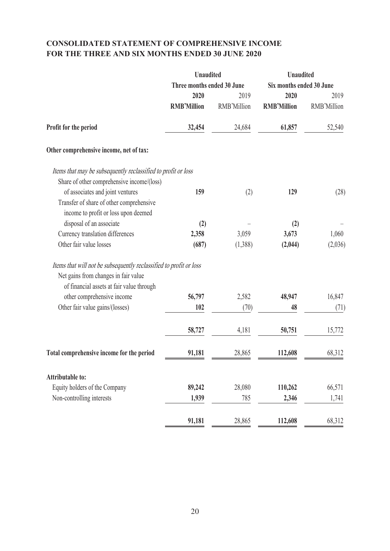# **CONSOLIDATED STATEMENT OF COMPREHENSIVE INCOME FOR THE THREE AND SIX MONTHS ENDED 30 JUNE 2020**

|                                                                    | <b>Unaudited</b>           |             | <b>Unaudited</b><br>Six months ended 30 June |             |  |
|--------------------------------------------------------------------|----------------------------|-------------|----------------------------------------------|-------------|--|
|                                                                    | Three months ended 30 June |             |                                              |             |  |
|                                                                    | 2020                       | 2019        |                                              | 2019        |  |
|                                                                    | <b>RMB'Million</b>         | RMB'Million | <b>RMB'Million</b>                           | RMB'Million |  |
| Profit for the period                                              | 32,454                     | 24,684      | 61,857                                       | 52,540      |  |
| Other comprehensive income, net of tax:                            |                            |             |                                              |             |  |
| Items that may be subsequently reclassified to profit or loss      |                            |             |                                              |             |  |
| Share of other comprehensive income/(loss)                         |                            |             |                                              |             |  |
| of associates and joint ventures                                   | 159                        | (2)         | 129                                          | (28)        |  |
| Transfer of share of other comprehensive                           |                            |             |                                              |             |  |
| income to profit or loss upon deemed                               |                            |             |                                              |             |  |
| disposal of an associate                                           | (2)                        |             | (2)                                          |             |  |
| Currency translation differences                                   | 2,358                      | 3,059       | 3,673                                        | 1,060       |  |
| Other fair value losses                                            | (687)                      | (1,388)     | (2,044)                                      | (2,036)     |  |
| Items that will not be subsequently reclassified to profit or loss |                            |             |                                              |             |  |
| Net gains from changes in fair value                               |                            |             |                                              |             |  |
| of financial assets at fair value through                          |                            |             |                                              |             |  |
| other comprehensive income                                         | 56,797                     | 2,582       | 48,947                                       | 16,847      |  |
| Other fair value gains/(losses)                                    | 102                        | (70)        | 48                                           | (71)        |  |
|                                                                    | 58,727                     | 4,181       | 50,751                                       | 15,772      |  |
| Total comprehensive income for the period                          | 91,181                     | 28,865      | 112,608                                      | 68,312      |  |
|                                                                    |                            |             |                                              |             |  |
| <b>Attributable to:</b>                                            |                            |             |                                              |             |  |
| Equity holders of the Company                                      | 89,242                     | 28,080      | 110,262                                      | 66,571      |  |
| Non-controlling interests                                          | 1,939                      | 785         | 2,346                                        | 1,741       |  |
|                                                                    | 91,181                     | 28,865      | 112,608                                      | 68,312      |  |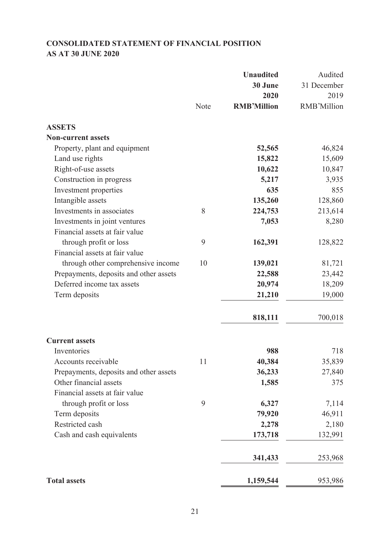# **CONSOLIDATED STATEMENT OF FINANCIAL POSITION AS AT 30 JUNE 2020**

|                                        |      | <b>Unaudited</b>   | Audited            |
|----------------------------------------|------|--------------------|--------------------|
|                                        |      | 30 June            | 31 December        |
|                                        |      | 2020               | 2019               |
|                                        | Note | <b>RMB'Million</b> | <b>RMB'Million</b> |
| <b>ASSETS</b>                          |      |                    |                    |
| <b>Non-current assets</b>              |      |                    |                    |
| Property, plant and equipment          |      | 52,565             | 46,824             |
| Land use rights                        |      | 15,822             | 15,609             |
| Right-of-use assets                    |      | 10,622             | 10,847             |
| Construction in progress               |      | 5,217              | 3,935              |
| Investment properties                  |      | 635                | 855                |
| Intangible assets                      |      | 135,260            | 128,860            |
| Investments in associates              | 8    | 224,753            | 213,614            |
| Investments in joint ventures          |      | 7,053              | 8,280              |
| Financial assets at fair value         |      |                    |                    |
| through profit or loss                 | 9    | 162,391            | 128,822            |
| Financial assets at fair value         |      |                    |                    |
| through other comprehensive income     | 10   | 139,021            | 81,721             |
| Prepayments, deposits and other assets |      | 22,588             | 23,442             |
| Deferred income tax assets             |      | 20,974             | 18,209             |
| Term deposits                          |      | 21,210             | 19,000             |
|                                        |      | 818,111            | 700,018            |
|                                        |      |                    |                    |
| <b>Current assets</b>                  |      |                    |                    |
| Inventories                            |      | 988                | 718                |
| Accounts receivable                    | 11   | 40,384             | 35,839             |
| Prepayments, deposits and other assets |      | 36,233             | 27,840             |
| Other financial assets                 |      | 1,585              | 375                |
| Financial assets at fair value         |      |                    |                    |
| through profit or loss                 | 9    | 6,327              | 7,114              |
| Term deposits                          |      | 79,920             | 46,911             |
| Restricted cash                        |      | 2,278              | 2,180              |
| Cash and cash equivalents              |      | 173,718            | 132,991            |
|                                        |      | 341,433            | 253,968            |
| <b>Total assets</b>                    |      | 1,159,544          | 953,986            |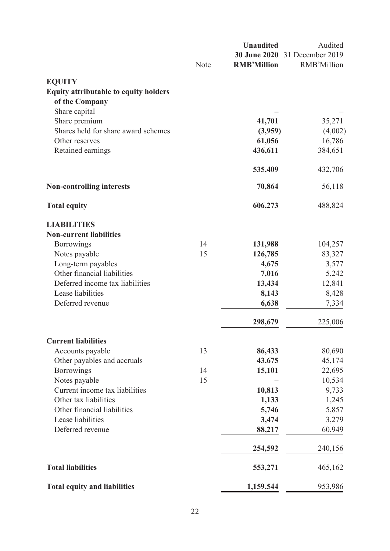|                                              |      | <b>Unaudited</b>   | Audited                       |  |
|----------------------------------------------|------|--------------------|-------------------------------|--|
|                                              |      |                    | 30 June 2020 31 December 2019 |  |
|                                              | Note | <b>RMB'Million</b> | RMB'Million                   |  |
| <b>EQUITY</b>                                |      |                    |                               |  |
| <b>Equity attributable to equity holders</b> |      |                    |                               |  |
| of the Company                               |      |                    |                               |  |
| Share capital                                |      |                    |                               |  |
| Share premium                                |      | 41,701             | 35,271                        |  |
| Shares held for share award schemes          |      | (3,959)            | (4,002)                       |  |
| Other reserves                               |      | 61,056             | 16,786                        |  |
| Retained earnings                            |      | 436,611            | 384,651                       |  |
|                                              |      | 535,409            | 432,706                       |  |
| <b>Non-controlling interests</b>             |      | 70,864             | 56,118                        |  |
| <b>Total equity</b>                          |      | 606,273            | 488,824                       |  |
| <b>LIABILITIES</b>                           |      |                    |                               |  |
| <b>Non-current liabilities</b>               |      |                    |                               |  |
| <b>Borrowings</b>                            | 14   | 131,988            | 104,257                       |  |
| Notes payable                                | 15   | 126,785            | 83,327                        |  |
| Long-term payables                           |      | 4,675              | 3,577                         |  |
| Other financial liabilities                  |      | 7,016              | 5,242                         |  |
| Deferred income tax liabilities              |      | 13,434             | 12,841                        |  |
| Lease liabilities                            |      | 8,143              | 8,428                         |  |
| Deferred revenue                             |      | 6,638              | 7,334                         |  |
|                                              |      | 298,679            | 225,006                       |  |
| <b>Current liabilities</b>                   |      |                    |                               |  |
| Accounts payable                             | 13   | 86,433             | 80,690                        |  |
| Other payables and accruals                  |      | 43,675             | 45,174                        |  |
| <b>Borrowings</b>                            | 14   | 15,101             | 22,695                        |  |
| Notes payable                                | 15   |                    | 10,534                        |  |
| Current income tax liabilities               |      | 10,813             | 9,733                         |  |
| Other tax liabilities                        |      | 1,133              | 1,245                         |  |
| Other financial liabilities                  |      | 5,746              | 5,857                         |  |
| Lease liabilities                            |      | 3,474              | 3,279                         |  |
| Deferred revenue                             |      | 88,217             | 60,949                        |  |
|                                              |      | 254,592            | 240,156                       |  |
| <b>Total liabilities</b>                     |      | 553,271            | 465,162                       |  |
| <b>Total equity and liabilities</b>          |      | 1,159,544          | 953,986                       |  |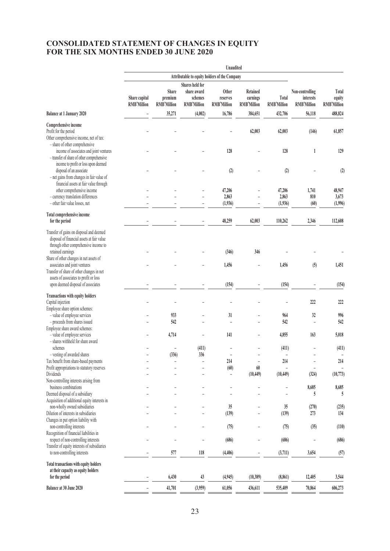### **CONSOLIDATED STATEMENT OF CHANGES IN EQUITY FOR THE SIX MONTHS ENDED 30 JUNE 2020**

|                                                                                     |                    |                    |                                               | Unaudited                |                          |                          |                    |                    |  |
|-------------------------------------------------------------------------------------|--------------------|--------------------|-----------------------------------------------|--------------------------|--------------------------|--------------------------|--------------------|--------------------|--|
|                                                                                     |                    |                    | Attributable to equity holders of the Company |                          |                          |                          |                    |                    |  |
|                                                                                     |                    |                    | <b>Shares held for</b>                        |                          |                          |                          |                    |                    |  |
|                                                                                     |                    | Share              | share award                                   | <b>Other</b>             | <b>Retained</b>          |                          | Non-controlling    | Total              |  |
|                                                                                     | Share capital      | premium            | schemes                                       | reserves                 | earnings                 | Total                    | interests          | equity             |  |
|                                                                                     | <b>RMB'Million</b> | <b>RMB'Million</b> | <b>RMB'Million</b>                            | <b>RMB'Million</b>       | <b>RMB'Million</b>       | <b>RMB'Million</b>       | <b>RMB'Million</b> | <b>RMB'Million</b> |  |
| <b>Balance at 1 January 2020</b>                                                    |                    | 35,271             | (4,002)                                       | 16,786                   | 384,651                  | 432,706                  | 56,118             | 488,824            |  |
| Comprehensive income                                                                |                    |                    |                                               |                          |                          |                          |                    |                    |  |
| Profit for the period                                                               |                    |                    |                                               |                          | 62,003                   | 62,003                   | (146)              | 61,857             |  |
| Other comprehensive income, net of tax:                                             |                    |                    |                                               |                          |                          |                          |                    |                    |  |
| - share of other comprehensive                                                      |                    |                    |                                               |                          |                          |                          |                    |                    |  |
| income of associates and joint ventures                                             |                    |                    |                                               | 128                      |                          | 128                      | 1                  | 129                |  |
| - transfer of share of other comprehensive                                          |                    |                    |                                               |                          |                          |                          |                    |                    |  |
| income to profit or loss upon deemed                                                |                    |                    |                                               |                          |                          |                          |                    |                    |  |
| disposal of an associate                                                            |                    |                    |                                               | (2)                      |                          | (2)                      |                    | (2)                |  |
| - net gains from changes in fair value of                                           |                    |                    |                                               |                          |                          |                          |                    |                    |  |
| financial assets at fair value through                                              |                    |                    |                                               |                          |                          |                          |                    |                    |  |
| other comprehensive income                                                          |                    |                    |                                               | 47,206                   |                          | 47,206                   | 1,741              | 48,947             |  |
| - currency translation differences<br>- other fair value losses, net                |                    |                    |                                               | 2,863                    |                          | 2,863                    | 810                | 3,673              |  |
|                                                                                     |                    |                    |                                               | (1,936)                  |                          | (1,936)                  | (60)               | (1,996)            |  |
| Total comprehensive income                                                          |                    |                    |                                               |                          |                          |                          |                    |                    |  |
| for the period                                                                      |                    |                    |                                               | 48,259                   | 62,003                   | 110,262                  | 2,346              | 112,608            |  |
| Transfer of gains on disposal and deemed                                            |                    |                    |                                               |                          |                          |                          |                    |                    |  |
| disposal of financial assets at fair value<br>through other comprehensive income to |                    |                    |                                               |                          |                          |                          |                    |                    |  |
| retained earnings                                                                   |                    |                    |                                               | (346)                    | 346                      |                          |                    |                    |  |
| Share of other changes in net assets of                                             |                    |                    |                                               |                          |                          |                          |                    |                    |  |
| associates and joint ventures                                                       |                    |                    |                                               | 1,456                    | $\overline{\phantom{0}}$ | 1,456                    | (5)                | 1,451              |  |
| Transfer of share of other changes in net                                           |                    |                    |                                               |                          |                          |                          |                    |                    |  |
| assets of associates to profit or loss                                              |                    |                    |                                               |                          |                          |                          |                    |                    |  |
| upon deemed disposal of associates                                                  |                    |                    |                                               | (154)                    |                          | (154)                    |                    | (154)              |  |
| <b>Transactions with equity holders</b>                                             |                    |                    |                                               |                          |                          |                          |                    |                    |  |
| Capital injection                                                                   |                    |                    |                                               |                          |                          |                          | 222                | 222                |  |
| Employee share option schemes:                                                      |                    |                    |                                               |                          |                          |                          |                    |                    |  |
| - value of employee services                                                        |                    | 933                |                                               | 31                       |                          | 964                      | 32                 | 996                |  |
| - proceeds from shares issued                                                       |                    | 542                |                                               | $\overline{a}$           |                          | 542                      | $\overline{a}$     | 542                |  |
| Employee share award schemes:                                                       |                    |                    |                                               |                          |                          |                          |                    |                    |  |
| - value of employee services                                                        |                    | 4,714              |                                               | 141                      |                          | 4,855                    | 163                | 5,018              |  |
| - shares withheld for share award                                                   |                    |                    |                                               |                          |                          |                          |                    |                    |  |
| schemes                                                                             |                    |                    | (411)                                         |                          |                          | (411)                    |                    | (411)              |  |
| - vesting of awarded shares                                                         |                    | (336)              | 336                                           |                          |                          | $\overline{\phantom{0}}$ | $\overline{a}$     | L,                 |  |
| Tax benefit from share-based payments                                               |                    |                    |                                               | 214                      | $\overline{\phantom{a}}$ | 214                      | $\overline{a}$     | 214                |  |
| Profit appropriations to statutory reserves                                         |                    |                    |                                               | (60)                     | $60\,$                   |                          |                    |                    |  |
| Dividends                                                                           |                    |                    |                                               | $\overline{\phantom{a}}$ | (10, 449)                | (10, 449)                | (324)              | (10, 773)          |  |
| Non-controlling interests arising from<br>business combinations                     |                    |                    |                                               |                          |                          |                          | 8,685              | 8,685              |  |
| Deemed disposal of a subsidiary                                                     |                    |                    |                                               |                          |                          |                          | 5                  | 5                  |  |
| Acquisition of additional equity interests in                                       |                    |                    |                                               |                          |                          |                          |                    |                    |  |
| non-wholly owned subsidiaries                                                       |                    |                    |                                               | 35                       |                          | 35                       | (270)              | (235)              |  |
| Dilution of interests in subsidiaries                                               |                    |                    |                                               | (139)                    |                          | (139)                    | 273                | 134                |  |
| Changes in put option liability with                                                |                    |                    |                                               |                          |                          |                          |                    |                    |  |
| non-controlling interests                                                           |                    |                    |                                               | (75)                     |                          | (75)                     | (35)               | (110)              |  |
| Recognition of financial liabilities in                                             |                    |                    |                                               |                          |                          |                          |                    |                    |  |
| respect of non-controlling interests                                                |                    |                    |                                               | (686)                    |                          | (686)                    |                    | (686)              |  |
| Transfer of equity interests of subsidiaries                                        |                    |                    |                                               |                          |                          |                          |                    |                    |  |
| to non-controlling interests                                                        |                    | 577                | 118                                           | (4, 406)                 |                          | (3,711)                  | 3,654              | (57)               |  |
| <b>Total transactions with equity holders</b>                                       |                    |                    |                                               |                          |                          |                          |                    |                    |  |
| at their capacity as equity holders                                                 |                    |                    |                                               |                          |                          |                          |                    |                    |  |
| for the period                                                                      |                    | 6,430              | 43                                            | (4,945)                  | (10, 389)                | (8,861)                  | 12,405             | 3,544              |  |
| Balance at 30 June 2020                                                             |                    | 41,701             | (3,959)                                       | 61,056                   | 436,611                  | 535,409                  | 70,864             | 606,273            |  |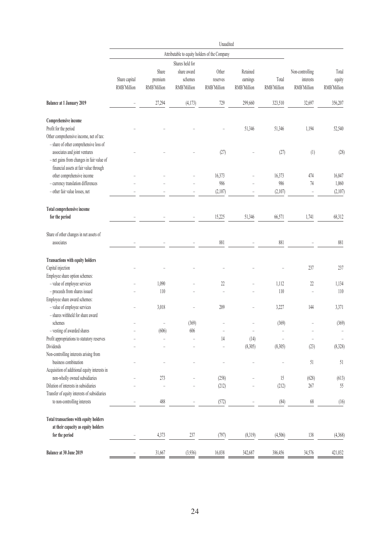|                                               |               |                    |                                               | Unaudited      |             |             |                          |                   |
|-----------------------------------------------|---------------|--------------------|-----------------------------------------------|----------------|-------------|-------------|--------------------------|-------------------|
|                                               |               |                    | Attributable to equity holders of the Company |                |             |             |                          |                   |
|                                               |               |                    | Shares held for                               |                |             |             |                          |                   |
|                                               |               | Share              | share award                                   | Other          | Retained    |             | Non-controlling          | Total             |
|                                               | Share capital | premium            | schemes                                       | reserves       | earnings    | Total       | interests                | equity            |
|                                               | RMB'Million   | <b>RMB'Million</b> | RMB'Million                                   | RMB'Million    | RMB'Million | RMB'Million | RMB'Million              | RMB'Million       |
| <b>Balance at 1 January 2019</b>              |               | 27,294             | (4, 173)                                      | 729            | 299,660     | 323,510     | 32,697                   | 356,207           |
| Comprehensive income                          |               |                    |                                               |                |             |             |                          |                   |
| Profit for the period                         |               |                    |                                               |                | 51,346      | 51,346      | 1,194                    | 52,540            |
| Other comprehensive income, net of tax:       |               |                    |                                               |                |             |             |                          |                   |
| - share of other comprehensive loss of        |               |                    |                                               |                |             |             |                          |                   |
| associates and joint ventures                 |               |                    |                                               | (27)           |             | (27)        | (1)                      | (28)              |
| - net gains from changes in fair value of     |               |                    |                                               |                |             |             |                          |                   |
| financial assets at fair value through        |               |                    |                                               |                |             |             |                          |                   |
| other comprehensive income                    |               |                    |                                               | 16,373         |             | 16,373      | 474                      | 16,847            |
| - currency translation differences            |               |                    |                                               | 986            |             | 986         | 74                       | 1,060             |
| - other fair value losses, net                |               |                    |                                               | (2,107)        |             | (2,107)     | $\overline{\phantom{0}}$ | (2,107)           |
| Total comprehensive income                    |               |                    |                                               |                |             |             |                          |                   |
| for the period                                |               |                    |                                               | 15,225         | 51,346      | 66,571      | 1,741                    | 68,312            |
| Share of other changes in net assets of       |               |                    |                                               |                |             |             |                          |                   |
| associates                                    |               |                    |                                               | 881            |             | 881         |                          | 881               |
| Transactions with equity holders              |               |                    |                                               |                |             |             |                          |                   |
| Capital injection                             |               |                    |                                               |                |             |             | 237                      | 237               |
| Employee share option schemes:                |               |                    |                                               |                |             |             |                          |                   |
| - value of employee services                  |               | 1,090              |                                               | $22\,$         |             | 1,112       | $22\,$                   | 1,134             |
| - proceeds from shares issued                 |               | 110                |                                               | $\overline{a}$ |             | 110         | L                        | 110               |
| Employee share award schemes:                 |               |                    |                                               |                |             |             |                          |                   |
| - value of employee services                  |               | 3,018              |                                               | 209            |             | 3,227       | 144                      | 3,371             |
| - shares withheld for share award             |               |                    |                                               |                |             |             |                          |                   |
| schemes                                       |               |                    | (369)                                         |                |             | (369)       |                          | (369)             |
| - vesting of awarded shares                   |               | (606)              | 606                                           |                |             | L,          |                          | $\overline{a}$    |
| Profit appropriations to statutory reserves   |               |                    |                                               | 14             | (14)        |             | $\overline{\phantom{0}}$ | $\qquad \qquad -$ |
| Dividends                                     |               |                    |                                               |                | (8,305)     | (8,305)     | (23)                     | (8,328)           |
| Non-controlling interests arising from        |               |                    |                                               |                |             |             |                          |                   |
| business combination                          |               |                    |                                               |                |             |             | 51                       | 51                |
| Acquisition of additional equity interests in |               |                    |                                               |                |             |             |                          |                   |
| non-wholly owned subsidiaries                 |               | 273                |                                               | (258)          |             | $15\,$      | (628)                    | (613)             |
| Dilution of interests in subsidiaries         |               |                    |                                               | (212)          |             | (212)       | $267$                    | 55                |
| Transfer of equity interests of subsidiaries  |               |                    |                                               |                |             |             |                          |                   |
| to non-controlling interests                  |               | 488                |                                               | (572)          |             | (84)        | 68                       | (16)              |
| Total transactions with equity holders        |               |                    |                                               |                |             |             |                          |                   |
| at their capacity as equity holders           |               |                    |                                               |                |             |             |                          |                   |
| for the period                                |               | 4,373              | 237                                           | (797)          | (8,319)     | (4,506)     | 138                      | (4,368)           |
| Balance at 30 June 2019                       |               | 31,667             | (3,936)                                       | 16,038         | 342,687     | 386,456     | 34,576                   | 421,032           |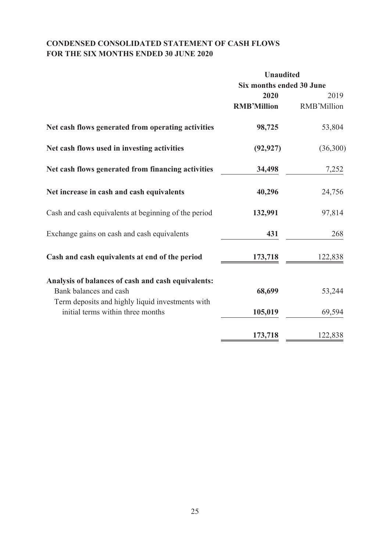# **CONDENSED CONSOLIDATED STATEMENT OF CASH FLOWS FOR THE SIX MONTHS ENDED 30 JUNE 2020**

|                                                      | <b>Unaudited</b>         |             |  |
|------------------------------------------------------|--------------------------|-------------|--|
|                                                      | Six months ended 30 June |             |  |
|                                                      | 2020                     | 2019        |  |
|                                                      | <b>RMB'Million</b>       | RMB'Million |  |
| Net cash flows generated from operating activities   | 98,725                   | 53,804      |  |
| Net cash flows used in investing activities          | (92, 927)                | (36,300)    |  |
| Net cash flows generated from financing activities   | 34,498                   | 7,252       |  |
| Net increase in cash and cash equivalents            | 40,296                   | 24,756      |  |
| Cash and cash equivalents at beginning of the period | 132,991                  | 97,814      |  |
| Exchange gains on cash and cash equivalents          | 431                      | 268         |  |
| Cash and cash equivalents at end of the period       | 173,718                  | 122,838     |  |
| Analysis of balances of cash and cash equivalents:   |                          |             |  |
| Bank balances and cash                               | 68,699                   | 53,244      |  |
| Term deposits and highly liquid investments with     |                          |             |  |
| initial terms within three months                    | 105,019                  | 69,594      |  |
|                                                      | 173,718                  | 122,838     |  |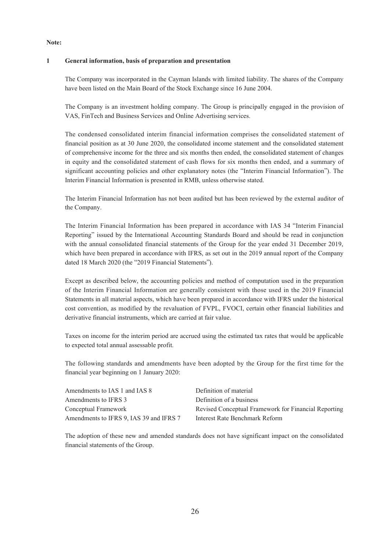#### **Note:**

#### **1 General information, basis of preparation and presentation**

The Company was incorporated in the Cayman Islands with limited liability. The shares of the Company have been listed on the Main Board of the Stock Exchange since 16 June 2004.

The Company is an investment holding company. The Group is principally engaged in the provision of VAS, FinTech and Business Services and Online Advertising services.

The condensed consolidated interim financial information comprises the consolidated statement of financial position as at 30 June 2020, the consolidated income statement and the consolidated statement of comprehensive income for the three and six months then ended, the consolidated statement of changes in equity and the consolidated statement of cash flows for six months then ended, and a summary of significant accounting policies and other explanatory notes (the "Interim Financial Information"). The Interim Financial Information is presented in RMB, unless otherwise stated.

The Interim Financial Information has not been audited but has been reviewed by the external auditor of the Company.

The Interim Financial Information has been prepared in accordance with IAS 34 "Interim Financial Reporting" issued by the International Accounting Standards Board and should be read in conjunction with the annual consolidated financial statements of the Group for the year ended 31 December 2019, which have been prepared in accordance with IFRS, as set out in the 2019 annual report of the Company dated 18 March 2020 (the "2019 Financial Statements").

Except as described below, the accounting policies and method of computation used in the preparation of the Interim Financial Information are generally consistent with those used in the 2019 Financial Statements in all material aspects, which have been prepared in accordance with IFRS under the historical cost convention, as modified by the revaluation of FVPL, FVOCI, certain other financial liabilities and derivative financial instruments, which are carried at fair value.

Taxes on income for the interim period are accrued using the estimated tax rates that would be applicable to expected total annual assessable profit.

The following standards and amendments have been adopted by the Group for the first time for the financial year beginning on 1 January 2020:

| Amendments to IAS 1 and IAS 8           | Definition of material                               |
|-----------------------------------------|------------------------------------------------------|
| Amendments to IFRS 3                    | Definition of a business                             |
| Conceptual Framework                    | Revised Conceptual Framework for Financial Reporting |
| Amendments to IFRS 9, IAS 39 and IFRS 7 | Interest Rate Benchmark Reform                       |

The adoption of these new and amended standards does not have significant impact on the consolidated financial statements of the Group.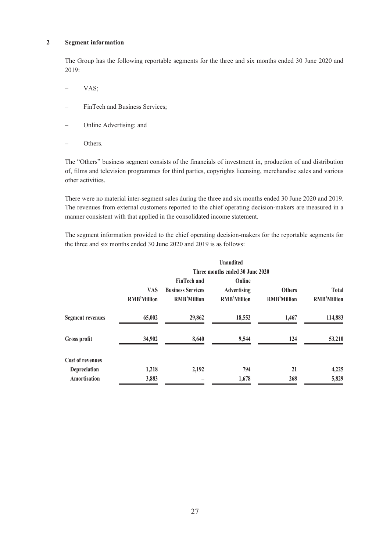#### **2 Segment information**

The Group has the following reportable segments for the three and six months ended 30 June 2020 and  $2019$ 

- VAS;
- FinTech and Business Services;
- Online Advertising; and
- Others.

The "Others" business segment consists of the financials of investment in, production of and distribution of, films and television programmes for third parties, copyrights licensing, merchandise sales and various other activities.

There were no material inter-segment sales during the three and six months ended 30 June 2020 and 2019. The revenues from external customers reported to the chief operating decision-makers are measured in a manner consistent with that applied in the consolidated income statement.

The segment information provided to the chief operating decision-makers for the reportable segments for the three and six months ended 30 June 2020 and 2019 is as follows:

|                         |                                 |                          | <b>Unaudited</b>   |                    |                    |  |  |  |  |
|-------------------------|---------------------------------|--------------------------|--------------------|--------------------|--------------------|--|--|--|--|
|                         | Three months ended 30 June 2020 |                          |                    |                    |                    |  |  |  |  |
|                         |                                 | <b>FinTech and</b>       | Online             |                    |                    |  |  |  |  |
|                         | <b>VAS</b>                      | <b>Business Services</b> | <b>Advertising</b> | <b>Others</b>      | <b>Total</b>       |  |  |  |  |
|                         | <b>RMB'Million</b>              | <b>RMB'Million</b>       | <b>RMB'Million</b> | <b>RMB'Million</b> | <b>RMB'Million</b> |  |  |  |  |
| <b>Segment revenues</b> | 65,002                          | 29,862                   | 18,552             | 1,467              | 114,883            |  |  |  |  |
| Gross profit            | 34,902                          | 8,640                    | 9,544              | 124                | 53,210             |  |  |  |  |
| <b>Cost of revenues</b> |                                 |                          |                    |                    |                    |  |  |  |  |
| Depreciation            | 1,218                           | 2,192                    | 794                | 21                 | 4,225              |  |  |  |  |
| Amortisation            | 3,883                           |                          | 1,678              | 268                | 5,829              |  |  |  |  |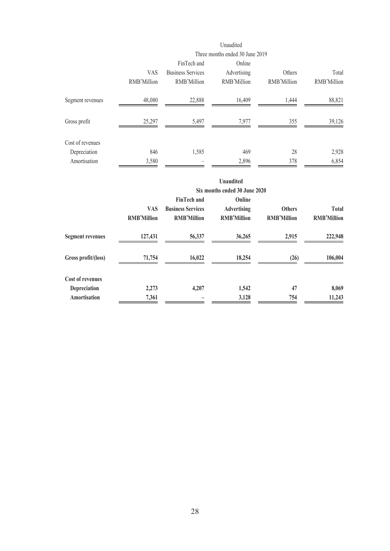|                  | Unaudited<br>Three months ended 30 June 2019 |                                                        |                                      |                       |                      |
|------------------|----------------------------------------------|--------------------------------------------------------|--------------------------------------|-----------------------|----------------------|
|                  | <b>VAS</b><br>RMB'Million                    | FinTech and<br><b>Business Services</b><br>RMB'Million | Online<br>Advertising<br>RMB'Million | Others<br>RMB'Million | Total<br>RMB'Million |
| Segment revenues | 48,080                                       | 22,888                                                 | 16,409                               | 1,444                 | 88,821               |
| Gross profit     | 25,297                                       | 5,497                                                  | 7,977                                | 355                   | 39,126               |
| Cost of revenues |                                              |                                                        |                                      |                       |                      |
| Depreciation     | 846                                          | 1,585                                                  | 469                                  | 28                    | 2,928                |
| Amortisation     | 3,580                                        |                                                        | 2,896                                | 378                   | 6,854                |

|                         |                                  |                                                                      | <b>Unaudited</b><br>Six months ended 30 June 2020  |                                     |                                    |
|-------------------------|----------------------------------|----------------------------------------------------------------------|----------------------------------------------------|-------------------------------------|------------------------------------|
|                         | <b>VAS</b><br><b>RMB'Million</b> | <b>FinTech and</b><br><b>Business Services</b><br><b>RMB'Million</b> | Online<br><b>Advertising</b><br><b>RMB'Million</b> | <b>Others</b><br><b>RMB'Million</b> | <b>Total</b><br><b>RMB'Million</b> |
| <b>Segment revenues</b> | 127,431                          | 56,337                                                               | 36,265                                             | 2,915                               | 222,948                            |
| Gross profit/(loss)     | 71,754                           | 16,022                                                               | 18,254                                             | (26)                                | 106,004                            |
| <b>Cost of revenues</b> |                                  |                                                                      |                                                    |                                     |                                    |
| Depreciation            | 2,273                            | 4,207                                                                | 1,542                                              | 47                                  | 8,069                              |
| Amortisation            | 7,361                            |                                                                      | 3,128                                              | 754                                 | 11,243                             |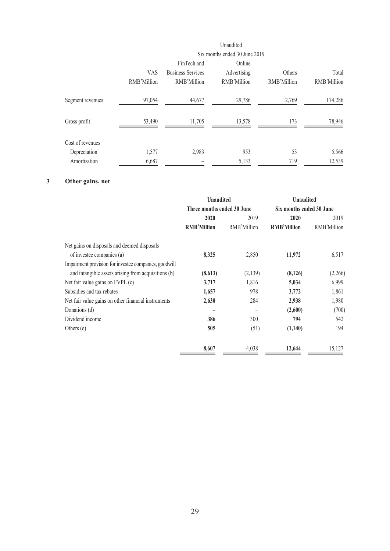|                  |             |                          | Unaudited                     |             |             |
|------------------|-------------|--------------------------|-------------------------------|-------------|-------------|
|                  |             |                          | Six months ended 30 June 2019 |             |             |
|                  |             | FinTech and              | Online                        |             |             |
|                  | <b>VAS</b>  | <b>Business Services</b> | Advertising                   | Others      | Total       |
|                  | RMB'Million | RMB'Million              | RMB'Million                   | RMB'Million | RMB'Million |
| Segment revenues | 97,054      | 44,677                   | 29,786                        | 2,769       | 174,286     |
| Gross profit     | 53,490      | 11,705                   | 13,578                        | 173         | 78,946      |
| Cost of revenues |             |                          |                               |             |             |
| Depreciation     | 1,577       | 2,983                    | 953                           | 53          | 5,566       |
| Amortisation     | 6,687       |                          | 5,133                         | 719         | 12,539      |

# **3 Other gains, net**

|                                                       | <b>Unaudited</b>           |             | <b>Unaudited</b>         |             |
|-------------------------------------------------------|----------------------------|-------------|--------------------------|-------------|
|                                                       | Three months ended 30 June |             | Six months ended 30 June |             |
|                                                       | 2020                       | 2019        | 2020                     | 2019        |
|                                                       | <b>RMB'Million</b>         | RMB'Million | <b>RMB'Million</b>       | RMB'Million |
| Net gains on disposals and deemed disposals           |                            |             |                          |             |
| of investee companies (a)                             | 8,325                      | 2,850       | 11,972                   | 6,517       |
| Impairment provision for investee companies, goodwill |                            |             |                          |             |
| and intangible assets arising from acquisitions (b)   | (8,613)                    | (2,139)     | (8,126)                  | (2,266)     |
| Net fair value gains on FVPL (c)                      | 3,717                      | 1,816       | 5,034                    | 6,999       |
| Subsidies and tax rebates                             | 1,657                      | 978         | 3,772                    | 1,861       |
| Net fair value gains on other financial instruments   | 2,630                      | 284         | 2,938                    | 1,980       |
| Donations (d)                                         |                            |             | (2,600)                  | (700)       |
| Dividend income                                       | 386                        | 300         | 794                      | 542         |
| Others $(e)$                                          | 505                        | (51)        | (1,140)                  | 194         |
|                                                       | 8,607                      | 4,038       | 12,644                   | 15,127      |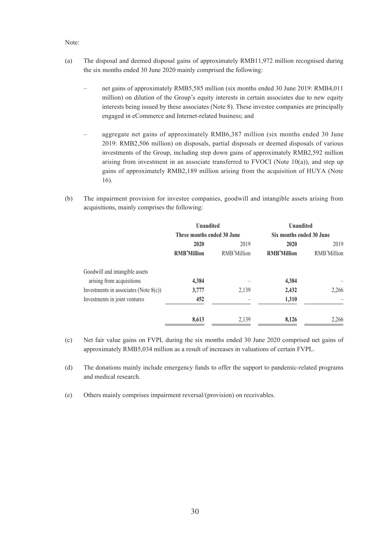#### Note:

- (a) The disposal and deemed disposal gains of approximately RMB11,972 million recognised during the six months ended 30 June 2020 mainly comprised the following:
	- net gains of approximately RMB5,585 million (six months ended 30 June 2019: RMB4,011 million) on dilution of the Group's equity interests in certain associates due to new equity interests being issued by these associates (Note 8). These investee companies are principally engaged in eCommerce and Internet-related business; and
	- aggregate net gains of approximately RMB6,387 million (six months ended 30 June 2019: RMB2,506 million) on disposals, partial disposals or deemed disposals of various investments of the Group, including step down gains of approximately RMB2,592 million arising from investment in an associate transferred to FVOCI (Note  $10(a)$ ), and step up gains of approximately RMB2,189 million arising from the acquisition of HUYA (Note 16).
- (b) The impairment provision for investee companies, goodwill and intangible assets arising from acquisitions, mainly comprises the following:

|                                          | <b>Unaudited</b>           |             | <b>Unaudited</b>         |             |
|------------------------------------------|----------------------------|-------------|--------------------------|-------------|
|                                          | Three months ended 30 June |             | Six months ended 30 June |             |
|                                          | 2020                       | 2019        | 2020                     | 2019        |
|                                          | <b>RMB'Million</b>         | RMB'Million | <b>RMB'Million</b>       | RMB'Million |
| Goodwill and intangible assets           |                            |             |                          |             |
| arising from acquisitions                | 4,384                      |             | 4,384                    |             |
| Investments in associates (Note $8(c)$ ) | 3,777                      | 2,139       | 2,432                    | 2,266       |
| Investments in joint ventures            | 452                        |             | 1,310                    |             |
|                                          | 8,613                      | 2,139       | 8,126                    | 2,266       |

- (c) Net fair value gains on FVPL during the six months ended 30 June 2020 comprised net gains of approximately RMB5,034 million as a result of increases in valuations of certain FVPL.
- (d) The donations mainly include emergency funds to offer the support to pandemic-related programs and medical research.
- (e) Others mainly comprises impairment reversal/(provision) on receivables.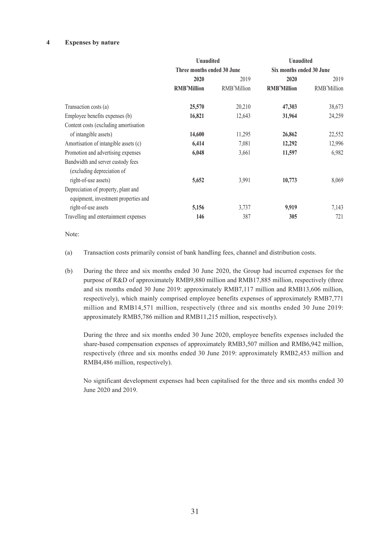#### **4 Expenses by nature**

|                                       | <b>Unaudited</b>           |             | <b>Unaudited</b>         |             |
|---------------------------------------|----------------------------|-------------|--------------------------|-------------|
|                                       | Three months ended 30 June |             | Six months ended 30 June |             |
|                                       | 2020                       | 2019        | 2020                     | 2019        |
|                                       | <b>RMB'Million</b>         | RMB'Million | <b>RMB'Million</b>       | RMB'Million |
| Transaction costs (a)                 | 25,570                     | 20,210      | 47,303                   | 38,673      |
| Employee benefits expenses (b)        | 16,821                     | 12,643      | 31,964                   | 24,259      |
| Content costs (excluding amortisation |                            |             |                          |             |
| of intangible assets)                 | 14,600                     | 11,295      | 26,862                   | 22,552      |
| Amortisation of intangible assets (c) | 6,414                      | 7,081       | 12,292                   | 12,996      |
| Promotion and advertising expenses    | 6,048                      | 3,661       | 11,597                   | 6,982       |
| Bandwidth and server custody fees     |                            |             |                          |             |
| (excluding depreciation of            |                            |             |                          |             |
| right-of-use assets)                  | 5,652                      | 3,991       | 10,773                   | 8,069       |
| Depreciation of property, plant and   |                            |             |                          |             |
| equipment, investment properties and  |                            |             |                          |             |
| right-of-use assets                   | 5,156                      | 3,737       | 9,919                    | 7,143       |
| Travelling and entertainment expenses | 146                        | 387         | 305                      | 721         |

Note:

- (a) Transaction costs primarily consist of bank handling fees, channel and distribution costs.
- (b) During the three and six months ended 30 June 2020, the Group had incurred expenses for the purpose of R&D of approximately RMB9,880 million and RMB17,885 million, respectively (three and six months ended 30 June 2019: approximately RMB7,117 million and RMB13,606 million, respectively), which mainly comprised employee benefits expenses of approximately RMB7,771 million and RMB14,571 million, respectively (three and six months ended 30 June 2019: approximately RMB5,786 million and RMB11,215 million, respectively).

During the three and six months ended 30 June 2020, employee benefits expenses included the share-based compensation expenses of approximately RMB3,507 million and RMB6,942 million, respectively (three and six months ended 30 June 2019: approximately RMB2,453 million and RMB4,486 million, respectively).

No significant development expenses had been capitalised for the three and six months ended 30 June 2020 and 2019.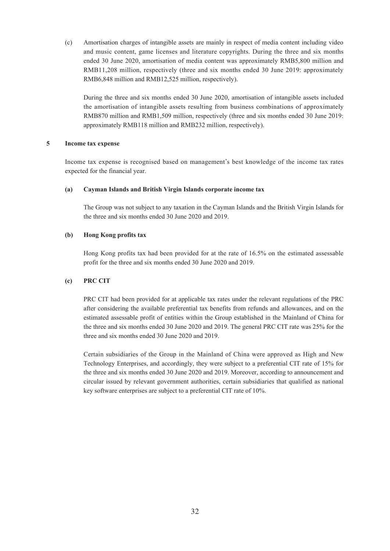(c) Amortisation charges of intangible assets are mainly in respect of media content including video and music content, game licenses and literature copyrights. During the three and six months ended 30 June 2020, amortisation of media content was approximately RMB5,800 million and RMB11,208 million, respectively (three and six months ended 30 June 2019: approximately RMB6,848 million and RMB12,525 million, respectively).

During the three and six months ended 30 June 2020, amortisation of intangible assets included the amortisation of intangible assets resulting from business combinations of approximately RMB870 million and RMB1,509 million, respectively (three and six months ended 30 June 2019: approximately RMB118 million and RMB232 million, respectively).

#### **5 Income tax expense**

Income tax expense is recognised based on management's best knowledge of the income tax rates expected for the financial year.

#### **(a) Cayman Islands and British Virgin Islands corporate income tax**

The Group was not subject to any taxation in the Cayman Islands and the British Virgin Islands for the three and six months ended 30 June 2020 and 2019.

#### **(b) Hong Kong profits tax**

Hong Kong profits tax had been provided for at the rate of 16.5% on the estimated assessable profit for the three and six months ended 30 June 2020 and 2019.

#### **(c) PRC CIT**

PRC CIT had been provided for at applicable tax rates under the relevant regulations of the PRC after considering the available preferential tax benefits from refunds and allowances, and on the estimated assessable profit of entities within the Group established in the Mainland of China for the three and six months ended 30 June 2020 and 2019. The general PRC CIT rate was 25% for the three and six months ended 30 June 2020 and 2019.

Certain subsidiaries of the Group in the Mainland of China were approved as High and New Technology Enterprises, and accordingly, they were subject to a preferential CIT rate of 15% for the three and six months ended 30 June 2020 and 2019. Moreover, according to announcement and circular issued by relevant government authorities, certain subsidiaries that qualified as national key software enterprises are subject to a preferential CIT rate of 10%.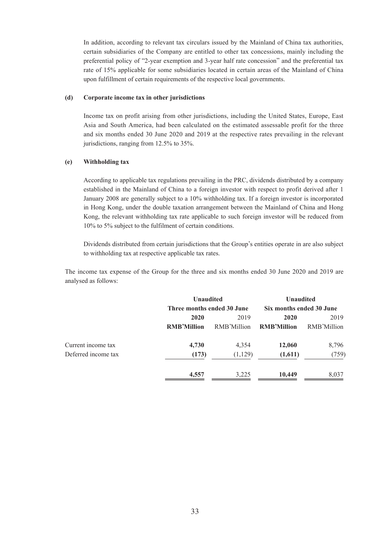In addition, according to relevant tax circulars issued by the Mainland of China tax authorities, certain subsidiaries of the Company are entitled to other tax concessions, mainly including the preferential policy of "2-year exemption and 3-year half rate concession" and the preferential tax rate of 15% applicable for some subsidiaries located in certain areas of the Mainland of China upon fulfillment of certain requirements of the respective local governments.

#### **(d) Corporate income tax in other jurisdictions**

Income tax on profit arising from other jurisdictions, including the United States, Europe, East Asia and South America, had been calculated on the estimated assessable profit for the three and six months ended 30 June 2020 and 2019 at the respective rates prevailing in the relevant jurisdictions, ranging from 12.5% to 35%.

#### **(e) Withholding tax**

According to applicable tax regulations prevailing in the PRC, dividends distributed by a company established in the Mainland of China to a foreign investor with respect to profit derived after 1 January 2008 are generally subject to a 10% withholding tax. If a foreign investor is incorporated in Hong Kong, under the double taxation arrangement between the Mainland of China and Hong Kong, the relevant withholding tax rate applicable to such foreign investor will be reduced from 10% to 5% subject to the fulfilment of certain conditions.

Dividends distributed from certain jurisdictions that the Group's entities operate in are also subject to withholding tax at respective applicable tax rates.

The income tax expense of the Group for the three and six months ended 30 June 2020 and 2019 are analysed as follows:

|                     | <b>Unaudited</b>           |             | <b>Unaudited</b>         |             |  |      |
|---------------------|----------------------------|-------------|--------------------------|-------------|--|------|
|                     | Three months ended 30 June |             | Six months ended 30 June |             |  |      |
|                     | 2020                       | 2019        |                          | 2020        |  | 2019 |
|                     | <b>RMB'Million</b>         | RMB'Million | <b>RMB'Million</b>       | RMB'Million |  |      |
| Current income tax  | 4,730                      | 4,354       | 12,060                   | 8,796       |  |      |
| Deferred income tax | (173)                      | (1,129)     | (1,611)                  | (759)       |  |      |
|                     | 4,557                      | 3,225       | 10,449                   | 8,037       |  |      |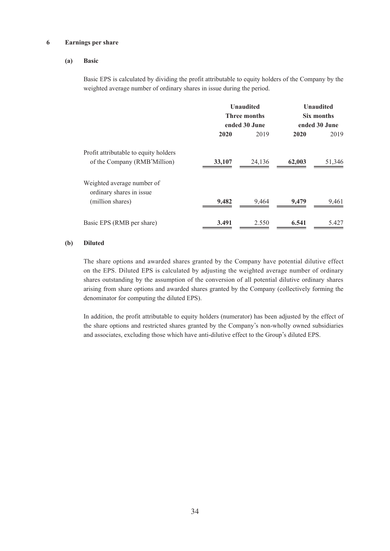#### **6 Earnings per share**

#### **(a) Basic**

Basic EPS is calculated by dividing the profit attributable to equity holders of the Company by the weighted average number of ordinary shares in issue during the period.

|                                                        |        | <b>Unaudited</b>    |        | <b>Unaudited</b> |  |
|--------------------------------------------------------|--------|---------------------|--------|------------------|--|
|                                                        |        | <b>Three months</b> |        | Six months       |  |
|                                                        |        | ended 30 June       |        | ended 30 June    |  |
|                                                        | 2020   | 2019                | 2020   | 2019             |  |
| Profit attributable to equity holders                  |        |                     |        |                  |  |
| of the Company (RMB'Million)                           | 33,107 | 24,136              | 62,003 | 51,346           |  |
| Weighted average number of<br>ordinary shares in issue |        |                     |        |                  |  |
| (million shares)                                       | 9,482  | 9,464               | 9,479  | 9,461            |  |
| Basic EPS (RMB per share)                              | 3.491  | 2.550               | 6.541  | 5.427            |  |

#### **(b) Diluted**

The share options and awarded shares granted by the Company have potential dilutive effect on the EPS. Diluted EPS is calculated by adjusting the weighted average number of ordinary shares outstanding by the assumption of the conversion of all potential dilutive ordinary shares arising from share options and awarded shares granted by the Company (collectively forming the denominator for computing the diluted EPS).

In addition, the profit attributable to equity holders (numerator) has been adjusted by the effect of the share options and restricted shares granted by the Company's non-wholly owned subsidiaries and associates, excluding those which have anti-dilutive effect to the Group's diluted EPS.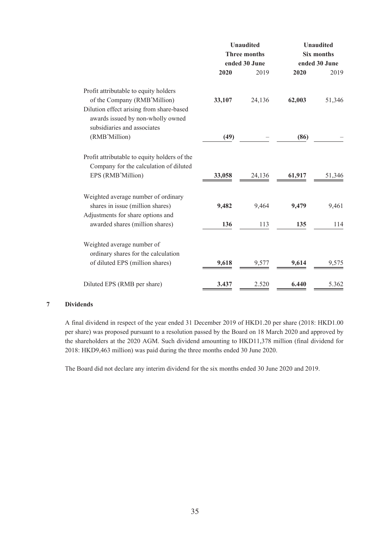| ended 30 June                                                                                                                         | ended 30 June<br>2020<br>2019 |
|---------------------------------------------------------------------------------------------------------------------------------------|-------------------------------|
|                                                                                                                                       |                               |
| 2019<br>2020                                                                                                                          |                               |
| Profit attributable to equity holders<br>of the Company (RMB'Million)<br>33,107<br>24,136<br>Dilution effect arising from share-based | 62,003<br>51,346              |
| awards issued by non-wholly owned<br>subsidiaries and associates                                                                      |                               |
| (RMB'Million)<br>(49)                                                                                                                 | (86)                          |
| Profit attributable to equity holders of the<br>Company for the calculation of diluted                                                |                               |
| EPS (RMB'Million)<br>33,058<br>24,136                                                                                                 | 51,346<br>61,917              |
| Weighted average number of ordinary                                                                                                   |                               |
| shares in issue (million shares)<br>9,482<br>9,464                                                                                    | 9,479<br>9,461                |
| Adjustments for share options and<br>awarded shares (million shares)<br>136<br>113                                                    | 135<br>114                    |
| Weighted average number of<br>ordinary shares for the calculation                                                                     |                               |
| of diluted EPS (million shares)<br>9,618<br>9,577                                                                                     | 9,614<br>9,575                |
| Diluted EPS (RMB per share)<br>2.520<br>3.437                                                                                         | 6.440<br>5.362                |

## **7 Dividends**

A final dividend in respect of the year ended 31 December 2019 of HKD1.20 per share (2018: HKD1.00 per share) was proposed pursuant to a resolution passed by the Board on 18 March 2020 and approved by the shareholders at the 2020 AGM. Such dividend amounting to HKD11,378 million (final dividend for 2018: HKD9,463 million) was paid during the three months ended 30 June 2020.

The Board did not declare any interim dividend for the six months ended 30 June 2020 and 2019.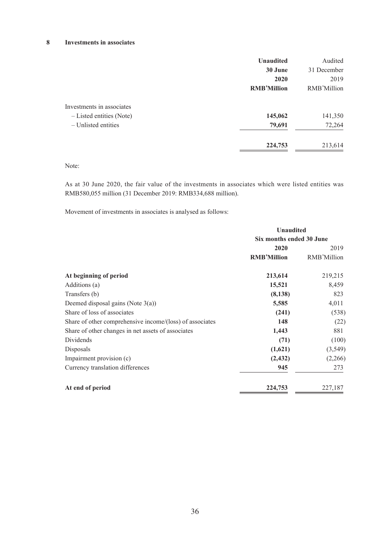#### **8 Investments in associates**

|                           | <b>Unaudited</b>   | Audited     |
|---------------------------|--------------------|-------------|
|                           | 30 June            | 31 December |
|                           | 2020               | 2019        |
|                           | <b>RMB'Million</b> | RMB'Million |
| Investments in associates |                    |             |
| - Listed entities (Note)  | 145,062            | 141,350     |
| - Unlisted entities       | 79,691             | 72,264      |
|                           | 224,753            | 213,614     |

Note:

As at 30 June 2020, the fair value of the investments in associates which were listed entities was RMB580,055 million (31 December 2019: RMB334,688 million).

Movement of investments in associates is analysed as follows:

|                                                          | <b>Unaudited</b><br>Six months ended 30 June |             |  |
|----------------------------------------------------------|----------------------------------------------|-------------|--|
|                                                          |                                              |             |  |
|                                                          | 2020                                         | 2019        |  |
|                                                          | <b>RMB'Million</b>                           | RMB'Million |  |
| At beginning of period                                   | 213,614                                      | 219,215     |  |
| Additions (a)                                            | 15,521                                       | 8,459       |  |
| Transfers (b)                                            | (8,138)                                      | 823         |  |
| Deemed disposal gains (Note $3(a)$ )                     | 5,585                                        | 4,011       |  |
| Share of loss of associates                              | (241)                                        | (538)       |  |
| Share of other comprehensive income/(loss) of associates | 148                                          | (22)        |  |
| Share of other changes in net assets of associates       | 1,443                                        | 881         |  |
| Dividends                                                | (71)                                         | (100)       |  |
| Disposals                                                | (1,621)                                      | (3, 549)    |  |
| Impairment provision (c)                                 | (2, 432)                                     | (2,266)     |  |
| Currency translation differences                         | 945                                          | 273         |  |
| At end of period                                         | 224,753                                      | 227,187     |  |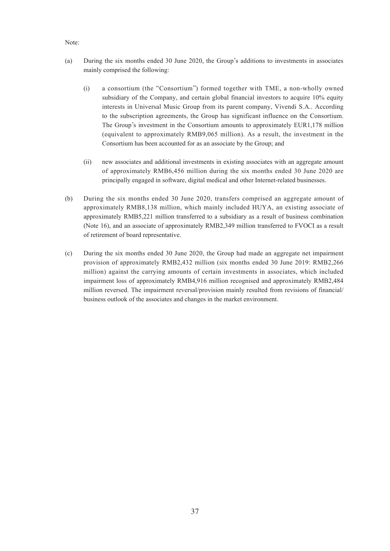#### Note:

- (a) During the six months ended 30 June 2020, the Group's additions to investments in associates mainly comprised the following:
	- (i) a consortium (the "Consortium") formed together with TME, a non-wholly owned subsidiary of the Company, and certain global financial investors to acquire 10% equity interests in Universal Music Group from its parent company, Vivendi S.A.. According to the subscription agreements, the Group has significant influence on the Consortium. The Group's investment in the Consortium amounts to approximately EUR1,178 million (equivalent to approximately RMB9,065 million). As a result, the investment in the Consortium has been accounted for as an associate by the Group; and
	- (ii) new associates and additional investments in existing associates with an aggregate amount of approximately RMB6,456 million during the six months ended 30 June 2020 are principally engaged in software, digital medical and other Internet-related businesses.
- (b) During the six months ended 30 June 2020, transfers comprised an aggregate amount of approximately RMB8,138 million, which mainly included HUYA, an existing associate of approximately RMB5,221 million transferred to a subsidiary as a result of business combination (Note 16), and an associate of approximately RMB2,349 million transferred to FVOCI as a result of retirement of board representative.
- (c) During the six months ended 30 June 2020, the Group had made an aggregate net impairment provision of approximately RMB2,432 million (six months ended 30 June 2019: RMB2,266 million) against the carrying amounts of certain investments in associates, which included impairment loss of approximately RMB4,916 million recognised and approximately RMB2,484 million reversed. The impairment reversal/provision mainly resulted from revisions of financial/ business outlook of the associates and changes in the market environment.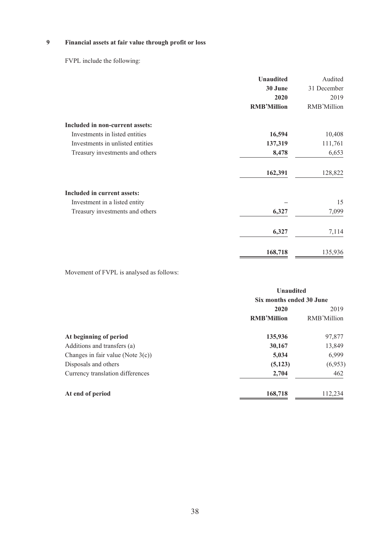# **9 Financial assets at fair value through profit or loss**

FVPL include the following:

|                                        | <b>Unaudited</b>   | Audited     |
|----------------------------------------|--------------------|-------------|
|                                        | 30 June            | 31 December |
|                                        | 2020               | 2019        |
|                                        | <b>RMB'Million</b> | RMB'Million |
| <b>Included in non-current assets:</b> |                    |             |
| Investments in listed entities         | 16,594             | 10,408      |
| Investments in unlisted entities       | 137,319            | 111,761     |
| Treasury investments and others        | 8,478              | 6,653       |
|                                        | 162,391            | 128,822     |
| <b>Included in current assets:</b>     |                    |             |
| Investment in a listed entity          |                    | 15          |
| Treasury investments and others        | 6,327              | 7,099       |
|                                        | 6,327              | 7,114       |
|                                        | 168,718            | 135,936     |

Movement of FVPL is analysed as follows:

|                                      | <b>Unaudited</b><br>Six months ended 30 June |             |  |
|--------------------------------------|----------------------------------------------|-------------|--|
|                                      |                                              |             |  |
|                                      | 2020                                         | 2019        |  |
|                                      | <b>RMB'Million</b>                           | RMB'Million |  |
| At beginning of period               | 135,936                                      | 97,877      |  |
| Additions and transfers (a)          | 30,167                                       | 13,849      |  |
| Changes in fair value (Note $3(c)$ ) | 5,034                                        | 6,999       |  |
| Disposals and others                 | (5, 123)                                     | (6,953)     |  |
| Currency translation differences     | 2,704                                        | 462         |  |
| At end of period                     | 168,718                                      | 112,234     |  |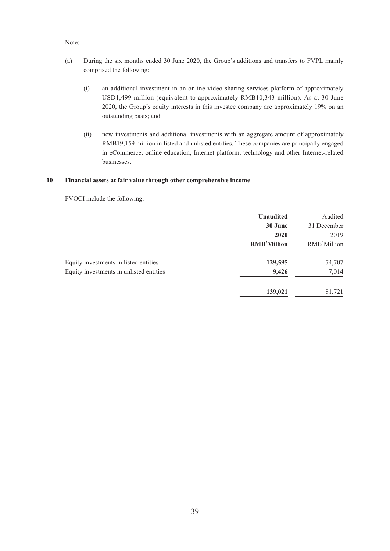#### Note:

- (a) During the six months ended 30 June 2020, the Group's additions and transfers to FVPL mainly comprised the following:
	- (i) an additional investment in an online video-sharing services platform of approximately USD1,499 million (equivalent to approximately RMB10,343 million). As at 30 June 2020, the Group's equity interests in this investee company are approximately 19% on an outstanding basis; and
	- (ii) new investments and additional investments with an aggregate amount of approximately RMB19,159 million in listed and unlisted entities. These companies are principally engaged in eCommerce, online education, Internet platform, technology and other Internet-related businesses.

#### **10 Financial assets at fair value through other comprehensive income**

FVOCI include the following:

|                                         | <b>Unaudited</b>   | Audited     |
|-----------------------------------------|--------------------|-------------|
|                                         | 30 June            | 31 December |
|                                         | 2020               | 2019        |
|                                         | <b>RMB'Million</b> | RMB'Million |
| Equity investments in listed entities   | 129,595            | 74,707      |
| Equity investments in unlisted entities | 9,426              | 7,014       |
|                                         | 139,021            | 81,721      |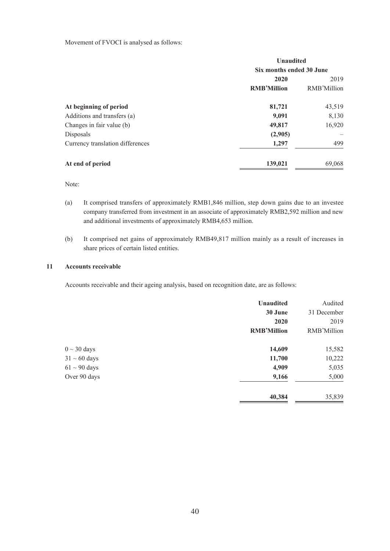Movement of FVOCI is analysed as follows:

|                                  | <b>Unaudited</b>         |             |  |
|----------------------------------|--------------------------|-------------|--|
|                                  | Six months ended 30 June |             |  |
|                                  | 2020                     |             |  |
|                                  | <b>RMB'Million</b>       | RMB'Million |  |
| At beginning of period           | 81,721                   | 43,519      |  |
| Additions and transfers (a)      | 9,091                    | 8,130       |  |
| Changes in fair value (b)        | 49,817                   | 16,920      |  |
| Disposals                        | (2,905)                  |             |  |
| Currency translation differences | 1,297                    | 499         |  |
| At end of period                 | 139,021                  | 69,068      |  |

Note:

- (a) It comprised transfers of approximately RMB1,846 million, step down gains due to an investee company transferred from investment in an associate of approximately RMB2,592 million and new and additional investments of approximately RMB4,653 million.
- (b) It comprised net gains of approximately RMB49,817 million mainly as a result of increases in share prices of certain listed entities.

#### **11 Accounts receivable**

Accounts receivable and their ageing analysis, based on recognition date, are as follows:

|                   | <b>Unaudited</b>   | Audited     |
|-------------------|--------------------|-------------|
|                   | 30 June            | 31 December |
|                   | 2020               | 2019        |
|                   | <b>RMB'Million</b> | RMB'Million |
| $0 \sim 30$ days  | 14,609             | 15,582      |
| $31 \sim 60$ days | 11,700             | 10,222      |
| $61 \sim 90$ days | 4,909              | 5,035       |
| Over 90 days      | 9,166              | 5,000       |
|                   | 40,384             | 35,839      |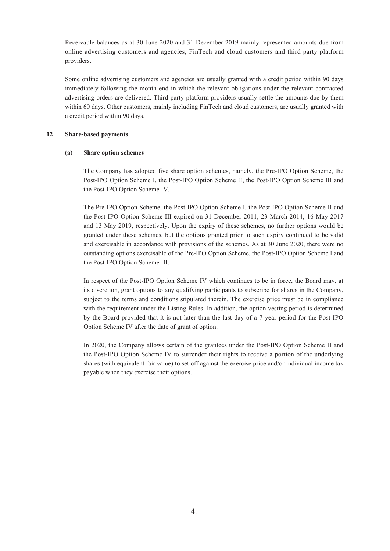Receivable balances as at 30 June 2020 and 31 December 2019 mainly represented amounts due from online advertising customers and agencies, FinTech and cloud customers and third party platform providers.

Some online advertising customers and agencies are usually granted with a credit period within 90 days immediately following the month-end in which the relevant obligations under the relevant contracted advertising orders are delivered. Third party platform providers usually settle the amounts due by them within 60 days. Other customers, mainly including FinTech and cloud customers, are usually granted with a credit period within 90 days.

#### **12 Share-based payments**

#### **(a) Share option schemes**

The Company has adopted five share option schemes, namely, the Pre-IPO Option Scheme, the Post-IPO Option Scheme I, the Post-IPO Option Scheme II, the Post-IPO Option Scheme III and the Post-IPO Option Scheme IV.

The Pre-IPO Option Scheme, the Post-IPO Option Scheme I, the Post-IPO Option Scheme II and the Post-IPO Option Scheme III expired on 31 December 2011, 23 March 2014, 16 May 2017 and 13 May 2019, respectively. Upon the expiry of these schemes, no further options would be granted under these schemes, but the options granted prior to such expiry continued to be valid and exercisable in accordance with provisions of the schemes. As at 30 June 2020, there were no outstanding options exercisable of the Pre-IPO Option Scheme, the Post-IPO Option Scheme I and the Post-IPO Option Scheme III.

In respect of the Post-IPO Option Scheme IV which continues to be in force, the Board may, at its discretion, grant options to any qualifying participants to subscribe for shares in the Company, subject to the terms and conditions stipulated therein. The exercise price must be in compliance with the requirement under the Listing Rules. In addition, the option vesting period is determined by the Board provided that it is not later than the last day of a 7-year period for the Post-IPO Option Scheme IV after the date of grant of option.

In 2020, the Company allows certain of the grantees under the Post-IPO Option Scheme II and the Post-IPO Option Scheme IV to surrender their rights to receive a portion of the underlying shares (with equivalent fair value) to set off against the exercise price and/or individual income tax payable when they exercise their options.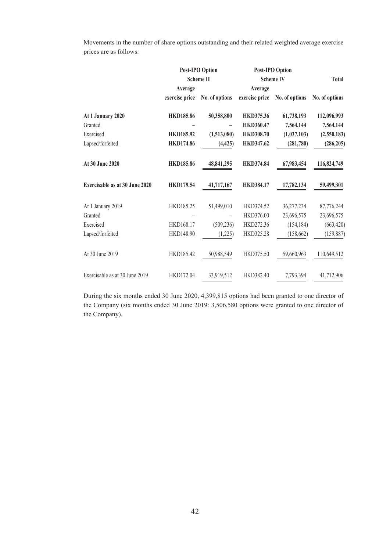Movements in the number of share options outstanding and their related weighted average exercise prices are as follows:

|                                       | <b>Post-IPO Option</b> |                | <b>Post-IPO Option</b> |                |                |  |
|---------------------------------------|------------------------|----------------|------------------------|----------------|----------------|--|
|                                       | <b>Scheme II</b>       |                | <b>Scheme IV</b>       |                | Total          |  |
|                                       | Average                |                | Average                |                |                |  |
|                                       | exercise price         | No. of options | exercise price         | No. of options | No. of options |  |
| At 1 January 2020                     | <b>HKD185.86</b>       | 50,358,800     | <b>HKD375.36</b>       | 61,738,193     | 112,096,993    |  |
| Granted                               |                        |                | <b>HKD360.47</b>       | 7,564,144      | 7,564,144      |  |
| Exercised                             | <b>HKD185.92</b>       | (1,513,080)    | <b>HKD308.70</b>       | (1,037,103)    | (2,550,183)    |  |
| Lapsed/forfeited                      | <b>HKD174.86</b>       | (4, 425)       | <b>HKD347.62</b>       | (281,780)      | (286, 205)     |  |
| At 30 June 2020                       | <b>HKD185.86</b>       | 48,841,295     | <b>HKD374.84</b>       | 67,983,454     | 116,824,749    |  |
| <b>Exercisable as at 30 June 2020</b> | <b>HKD179.54</b>       | 41,717,167     | <b>HKD384.17</b>       | 17,782,134     | 59,499,301     |  |
| At 1 January 2019                     | HKD185.25              | 51,499,010     | HKD374.52              | 36,277,234     | 87,776,244     |  |
| Granted                               |                        |                | HKD376.00              | 23,696,575     | 23,696,575     |  |
| Exercised                             | HKD168.17              | (509, 236)     | HKD272.36              | (154, 184)     | (663, 420)     |  |
| Lapsed/forfeited                      | HKD148.90              | (1,225)        | HKD325.28              | (158, 662)     | (159, 887)     |  |
| At 30 June 2019                       | HKD185.42              | 50,988,549     | HKD375.50              | 59,660,963     | 110,649,512    |  |
| Exercisable as at 30 June 2019        | HKD172.04              | 33,919,512     | HKD382.40              | 7,793,394      | 41,712,906     |  |

During the six months ended 30 June 2020, 4,399,815 options had been granted to one director of the Company (six months ended 30 June 2019: 3,506,580 options were granted to one director of the Company).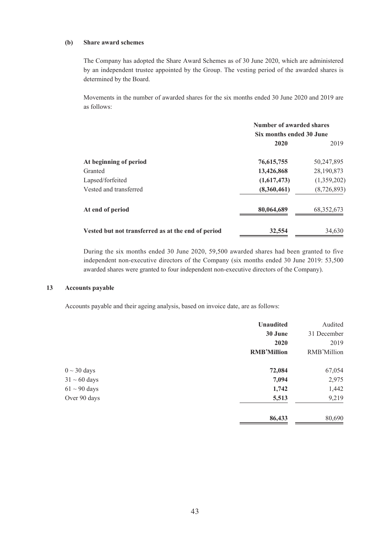#### **(b) Share award schemes**

The Company has adopted the Share Award Schemes as of 30 June 2020, which are administered by an independent trustee appointed by the Group. The vesting period of the awarded shares is determined by the Board.

Movements in the number of awarded shares for the six months ended 30 June 2020 and 2019 are as follows:

|                                                    | Number of awarded shares |              |  |
|----------------------------------------------------|--------------------------|--------------|--|
|                                                    | Six months ended 30 June |              |  |
|                                                    | 2020                     | 2019         |  |
| At beginning of period                             | 76, 615, 755             | 50,247,895   |  |
| Granted                                            | 13,426,868               | 28,190,873   |  |
| Lapsed/forfeited                                   | (1,617,473)              | (1,359,202)  |  |
| Vested and transferred                             | (8,360,461)              | (8,726,893)  |  |
| At end of period                                   | 80,064,689               | 68, 352, 673 |  |
| Vested but not transferred as at the end of period | 32,554                   | 34,630       |  |

During the six months ended 30 June 2020, 59,500 awarded shares had been granted to five independent non-executive directors of the Company (six months ended 30 June 2019: 53,500 awarded shares were granted to four independent non-executive directors of the Company).

#### **13 Accounts payable**

Accounts payable and their ageing analysis, based on invoice date, are as follows:

|                   | <b>Unaudited</b>   | Audited     |
|-------------------|--------------------|-------------|
|                   | 30 June            | 31 December |
|                   | 2020               | 2019        |
|                   | <b>RMB'Million</b> | RMB'Million |
| $0 \sim 30$ days  | 72,084             | 67,054      |
| $31 \sim 60$ days | 7,094              | 2,975       |
| $61 \sim 90$ days | 1,742              | 1,442       |
| Over 90 days      | 5,513              | 9,219       |
|                   | 86,433             | 80,690      |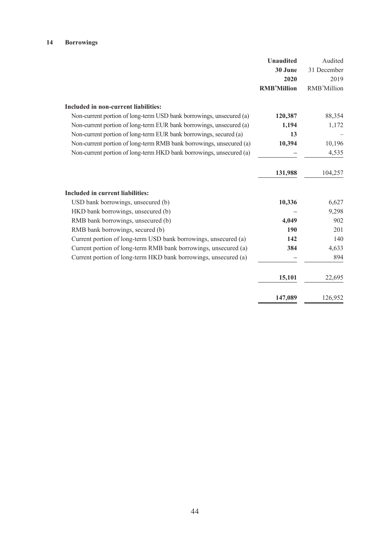## **14 Borrowings**

|                                                                     | <b>Unaudited</b>   | Audited     |
|---------------------------------------------------------------------|--------------------|-------------|
|                                                                     | 30 June            | 31 December |
|                                                                     | 2020               | 2019        |
|                                                                     | <b>RMB'Million</b> | RMB'Million |
| Included in non-current liabilities:                                |                    |             |
| Non-current portion of long-term USD bank borrowings, unsecured (a) | 120,387            | 88,354      |
| Non-current portion of long-term EUR bank borrowings, unsecured (a) | 1,194              | 1,172       |
| Non-current portion of long-term EUR bank borrowings, secured (a)   | 13                 |             |
| Non-current portion of long-term RMB bank borrowings, unsecured (a) | 10,394             | 10,196      |
| Non-current portion of long-term HKD bank borrowings, unsecured (a) |                    | 4,535       |
|                                                                     | 131,988            | 104,257     |
| Included in current liabilities:                                    |                    |             |
| USD bank borrowings, unsecured (b)                                  | 10,336             | 6,627       |
| HKD bank borrowings, unsecured (b)                                  |                    | 9,298       |
| RMB bank borrowings, unsecured (b)                                  | 4,049              | 902         |
| RMB bank borrowings, secured (b)                                    | 190                | 201         |
| Current portion of long-term USD bank borrowings, unsecured (a)     | 142                | 140         |
| Current portion of long-term RMB bank borrowings, unsecured (a)     | 384                | 4,633       |
| Current portion of long-term HKD bank borrowings, unsecured (a)     |                    | 894         |
|                                                                     | 15,101             | 22,695      |
|                                                                     | 147,089            | 126,952     |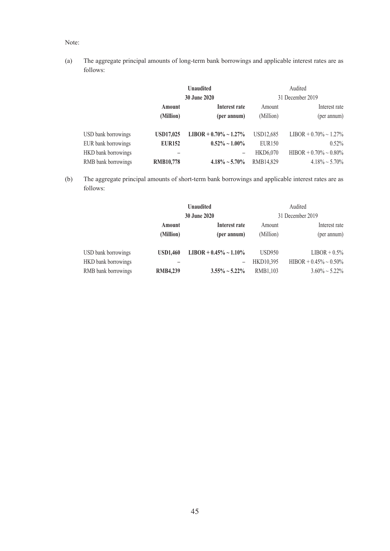#### Note:

(a) The aggregate principal amounts of long-term bank borrowings and applicable interest rates are as follows:

|                     |                  | <b>Unaudited</b>             |               | Audited                      |
|---------------------|------------------|------------------------------|---------------|------------------------------|
|                     |                  | <b>30 June 2020</b>          |               | 31 December 2019             |
|                     | Amount           | Interest rate                | Amount        | Interest rate                |
|                     | (Million)        | (per annum)                  | (Million)     | (per annum)                  |
| USD bank borrowings | <b>USD17,025</b> | LIBOR + $0.70\% \sim 1.27\%$ | USD12,685     | $LIBOR + 0.70\% \sim 1.27\%$ |
| EUR bank borrowings | <b>EUR152</b>    | $0.52\% \sim 1.00\%$         | <b>EUR150</b> | 0.52%                        |
| HKD bank borrowings |                  | -                            | HKD6.070      | $HIBOR + 0.70\% \sim 0.80\%$ |
| RMB bank borrowings | <b>RMB10,778</b> | $4.18\% \sim 5.70\%$         | RMB14.829     | $4.18\% \sim 5.70\%$         |

(b) The aggregate principal amounts of short-term bank borrowings and applicable interest rates are as follows:

|                     | <b>Unaudited</b> |                              |               | Audited                      |
|---------------------|------------------|------------------------------|---------------|------------------------------|
|                     |                  | <b>30 June 2020</b>          |               | 31 December 2019             |
|                     | Amount           | Interest rate                | Amount        | Interest rate                |
|                     | (Million)        | (per annum)                  | (Million)     | (per annum)                  |
| USD bank borrowings | <b>USD1.460</b>  | LIBOR + $0.45\% \sim 1.10\%$ | <b>USD950</b> | $LIBOR + 0.5\%$              |
| HKD bank borrowings |                  |                              | HKD10,395     | HIBOR + $0.45\% \sim 0.50\%$ |
| RMB bank borrowings | <b>RMB4,239</b>  | $3.55\% \sim 5.22\%$         | RMB1,103      | $3.60\% \sim 5.22\%$         |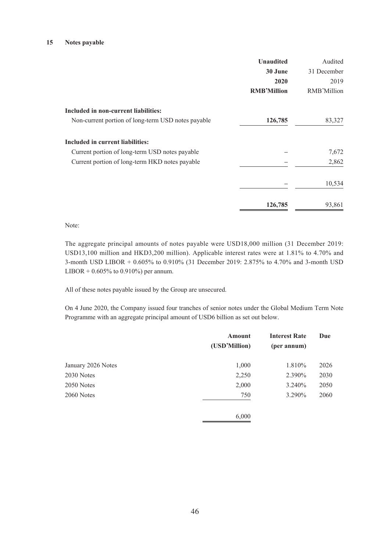#### **15 Notes payable**

|                                                    | <b>Unaudited</b>   | Audited     |
|----------------------------------------------------|--------------------|-------------|
|                                                    | 30 June            | 31 December |
|                                                    | 2020               | 2019        |
|                                                    | <b>RMB'Million</b> | RMB'Million |
| Included in non-current liabilities:               |                    |             |
| Non-current portion of long-term USD notes payable | 126,785            | 83,327      |
| Included in current liabilities:                   |                    |             |
| Current portion of long-term USD notes payable     |                    | 7,672       |
| Current portion of long-term HKD notes payable     |                    | 2,862       |
|                                                    |                    | 10,534      |
|                                                    | 126,785            | 93,861      |

#### Note:

The aggregate principal amounts of notes payable were USD18,000 million (31 December 2019: USD13,100 million and HKD3,200 million). Applicable interest rates were at 1.81% to 4.70% and 3-month USD LIBOR + 0.605% to 0.910% (31 December 2019: 2.875% to 4.70% and 3-month USD LIBOR +  $0.605\%$  to  $0.910\%$ ) per annum.

All of these notes payable issued by the Group are unsecured.

On 4 June 2020, the Company issued four tranches of senior notes under the Global Medium Term Note Programme with an aggregate principal amount of USD6 billion as set out below.

|                    | <b>Amount</b><br>(USD'Million) | <b>Interest Rate</b><br>(per annum) | Due  |
|--------------------|--------------------------------|-------------------------------------|------|
| January 2026 Notes | 1,000                          | 1.810%                              | 2026 |
| 2030 Notes         | 2,250                          | 2.390%                              | 2030 |
| 2050 Notes         | 2,000                          | 3.240%                              | 2050 |
| 2060 Notes         | 750                            | 3.290%                              | 2060 |
|                    | 6,000                          |                                     |      |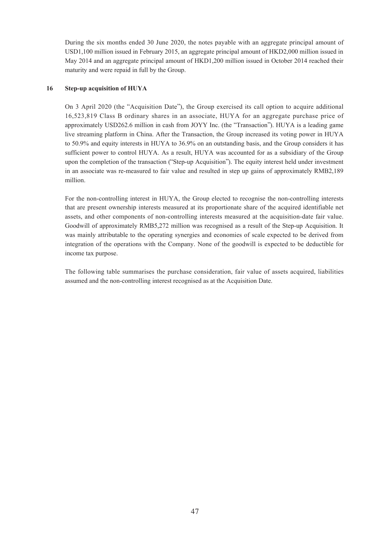During the six months ended 30 June 2020, the notes payable with an aggregate principal amount of USD1,100 million issued in February 2015, an aggregate principal amount of HKD2,000 million issued in May 2014 and an aggregate principal amount of HKD1,200 million issued in October 2014 reached their maturity and were repaid in full by the Group.

#### **16 Step-up acquisition of HUYA**

On 3 April 2020 (the "Acquisition Date"), the Group exercised its call option to acquire additional 16,523,819 Class B ordinary shares in an associate, HUYA for an aggregate purchase price of approximately USD262.6 million in cash from JOYY Inc. (the "Transaction"). HUYA is a leading game live streaming platform in China. After the Transaction, the Group increased its voting power in HUYA to 50.9% and equity interests in HUYA to 36.9% on an outstanding basis, and the Group considers it has sufficient power to control HUYA. As a result, HUYA was accounted for as a subsidiary of the Group upon the completion of the transaction ("Step-up Acquisition"). The equity interest held under investment in an associate was re-measured to fair value and resulted in step up gains of approximately RMB2,189 million.

For the non-controlling interest in HUYA, the Group elected to recognise the non-controlling interests that are present ownership interests measured at its proportionate share of the acquired identifiable net assets, and other components of non-controlling interests measured at the acquisition-date fair value. Goodwill of approximately RMB5,272 million was recognised as a result of the Step-up Acquisition. It was mainly attributable to the operating synergies and economies of scale expected to be derived from integration of the operations with the Company. None of the goodwill is expected to be deductible for income tax purpose.

The following table summarises the purchase consideration, fair value of assets acquired, liabilities assumed and the non-controlling interest recognised as at the Acquisition Date.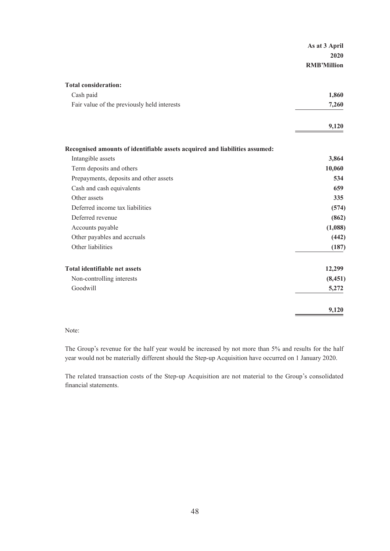|                                                                             | As at 3 April      |
|-----------------------------------------------------------------------------|--------------------|
|                                                                             | 2020               |
|                                                                             | <b>RMB'Million</b> |
|                                                                             |                    |
| <b>Total consideration:</b>                                                 |                    |
| Cash paid                                                                   | 1,860              |
| Fair value of the previously held interests                                 | 7,260              |
|                                                                             | 9,120              |
|                                                                             |                    |
| Recognised amounts of identifiable assets acquired and liabilities assumed: |                    |
| Intangible assets                                                           | 3,864              |
| Term deposits and others                                                    | 10,060             |
| Prepayments, deposits and other assets                                      | 534                |
| Cash and cash equivalents                                                   | 659                |
| Other assets                                                                | 335                |
| Deferred income tax liabilities                                             | (574)              |
| Deferred revenue                                                            | (862)              |
| Accounts payable                                                            | (1,088)            |
| Other payables and accruals                                                 | (442)              |
| Other liabilities                                                           | (187)              |
| <b>Total identifiable net assets</b>                                        | 12,299             |
| Non-controlling interests                                                   | (8, 451)           |
| Goodwill                                                                    | 5,272              |
|                                                                             | 9,120              |

#### Note:

The Group's revenue for the half year would be increased by not more than 5% and results for the half year would not be materially different should the Step-up Acquisition have occurred on 1 January 2020.

The related transaction costs of the Step-up Acquisition are not material to the Group's consolidated financial statements.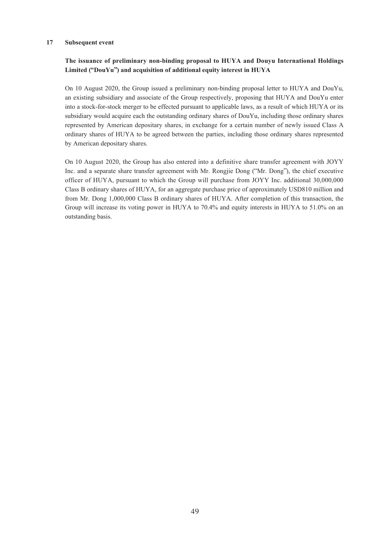#### **17 Subsequent event**

### **The issuance of preliminary non-binding proposal to HUYA and Douyu International Holdings Limited ("DouYu") and acquisition of additional equity interest in HUYA**

On 10 August 2020, the Group issued a preliminary non-binding proposal letter to HUYA and DouYu, an existing subsidiary and associate of the Group respectively, proposing that HUYA and DouYu enter into a stock-for-stock merger to be effected pursuant to applicable laws, as a result of which HUYA or its subsidiary would acquire each the outstanding ordinary shares of DouYu, including those ordinary shares represented by American depositary shares, in exchange for a certain number of newly issued Class A ordinary shares of HUYA to be agreed between the parties, including those ordinary shares represented by American depositary shares.

On 10 August 2020, the Group has also entered into a definitive share transfer agreement with JOYY Inc. and a separate share transfer agreement with Mr. Rongjie Dong ("Mr. Dong"), the chief executive officer of HUYA, pursuant to which the Group will purchase from JOYY Inc. additional 30,000,000 Class B ordinary shares of HUYA, for an aggregate purchase price of approximately USD810 million and from Mr. Dong 1,000,000 Class B ordinary shares of HUYA. After completion of this transaction, the Group will increase its voting power in HUYA to 70.4% and equity interests in HUYA to 51.0% on an outstanding basis.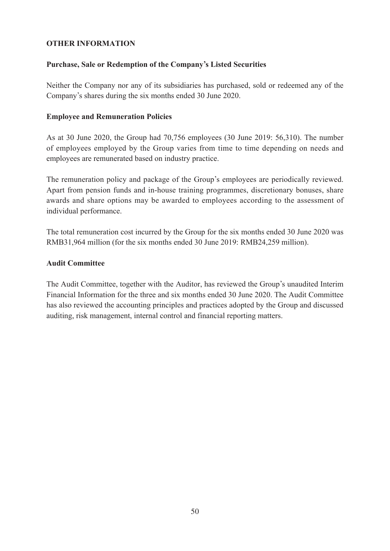## **OTHER INFORMATION**

# **Purchase, Sale or Redemption of the Company's Listed Securities**

Neither the Company nor any of its subsidiaries has purchased, sold or redeemed any of the Company's shares during the six months ended 30 June 2020.

## **Employee and Remuneration Policies**

As at 30 June 2020, the Group had 70,756 employees (30 June 2019: 56,310). The number of employees employed by the Group varies from time to time depending on needs and employees are remunerated based on industry practice.

The remuneration policy and package of the Group's employees are periodically reviewed. Apart from pension funds and in-house training programmes, discretionary bonuses, share awards and share options may be awarded to employees according to the assessment of individual performance.

The total remuneration cost incurred by the Group for the six months ended 30 June 2020 was RMB31,964 million (for the six months ended 30 June 2019: RMB24,259 million).

## **Audit Committee**

The Audit Committee, together with the Auditor, has reviewed the Group's unaudited Interim Financial Information for the three and six months ended 30 June 2020. The Audit Committee has also reviewed the accounting principles and practices adopted by the Group and discussed auditing, risk management, internal control and financial reporting matters.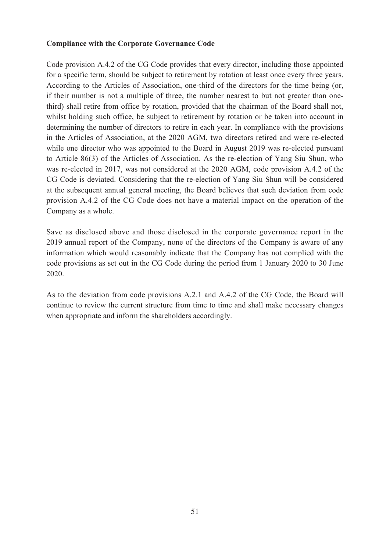## **Compliance with the Corporate Governance Code**

Code provision A.4.2 of the CG Code provides that every director, including those appointed for a specific term, should be subject to retirement by rotation at least once every three years. According to the Articles of Association, one-third of the directors for the time being (or, if their number is not a multiple of three, the number nearest to but not greater than onethird) shall retire from office by rotation, provided that the chairman of the Board shall not, whilst holding such office, be subject to retirement by rotation or be taken into account in determining the number of directors to retire in each year. In compliance with the provisions in the Articles of Association, at the 2020 AGM, two directors retired and were re-elected while one director who was appointed to the Board in August 2019 was re-elected pursuant to Article 86(3) of the Articles of Association. As the re-election of Yang Siu Shun, who was re-elected in 2017, was not considered at the 2020 AGM, code provision A.4.2 of the CG Code is deviated. Considering that the re-election of Yang Siu Shun will be considered at the subsequent annual general meeting, the Board believes that such deviation from code provision A.4.2 of the CG Code does not have a material impact on the operation of the Company as a whole.

Save as disclosed above and those disclosed in the corporate governance report in the 2019 annual report of the Company, none of the directors of the Company is aware of any information which would reasonably indicate that the Company has not complied with the code provisions as set out in the CG Code during the period from 1 January 2020 to 30 June 2020.

As to the deviation from code provisions A.2.1 and A.4.2 of the CG Code, the Board will continue to review the current structure from time to time and shall make necessary changes when appropriate and inform the shareholders accordingly.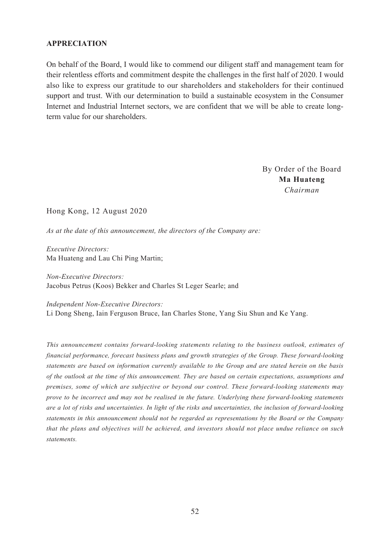## **APPRECIATION**

On behalf of the Board, I would like to commend our diligent staff and management team for their relentless efforts and commitment despite the challenges in the first half of 2020. I would also like to express our gratitude to our shareholders and stakeholders for their continued support and trust. With our determination to build a sustainable ecosystem in the Consumer Internet and Industrial Internet sectors, we are confident that we will be able to create longterm value for our shareholders.

> By Order of the Board **Ma Huateng** *Chairman*

Hong Kong, 12 August 2020

*As at the date of this announcement, the directors of the Company are:*

*Executive Directors:* Ma Huateng and Lau Chi Ping Martin;

*Non-Executive Directors:* Jacobus Petrus (Koos) Bekker and Charles St Leger Searle; and

*Independent Non-Executive Directors:* Li Dong Sheng, Iain Ferguson Bruce, Ian Charles Stone, Yang Siu Shun and Ke Yang.

*This announcement contains forward-looking statements relating to the business outlook, estimates of financial performance, forecast business plans and growth strategies of the Group. These forward-looking statements are based on information currently available to the Group and are stated herein on the basis of the outlook at the time of this announcement. They are based on certain expectations, assumptions and premises, some of which are subjective or beyond our control. These forward-looking statements may prove to be incorrect and may not be realised in the future. Underlying these forward-looking statements are a lot of risks and uncertainties. In light of the risks and uncertainties, the inclusion of forward-looking statements in this announcement should not be regarded as representations by the Board or the Company that the plans and objectives will be achieved, and investors should not place undue reliance on such statements.*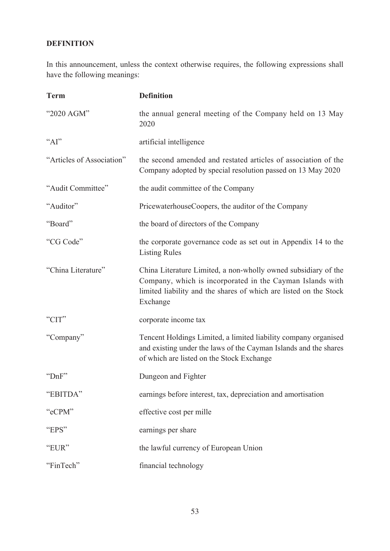# **DEFINITION**

In this announcement, unless the context otherwise requires, the following expressions shall have the following meanings:

| <b>Term</b>               | <b>Definition</b>                                                                                                                                                                                            |
|---------------------------|--------------------------------------------------------------------------------------------------------------------------------------------------------------------------------------------------------------|
| "2020 AGM"                | the annual general meeting of the Company held on 13 May<br>2020                                                                                                                                             |
| "Al"                      | artificial intelligence                                                                                                                                                                                      |
| "Articles of Association" | the second amended and restated articles of association of the<br>Company adopted by special resolution passed on 13 May 2020                                                                                |
| "Audit Committee"         | the audit committee of the Company                                                                                                                                                                           |
| "Auditor"                 | PricewaterhouseCoopers, the auditor of the Company                                                                                                                                                           |
| "Board"                   | the board of directors of the Company                                                                                                                                                                        |
| "CG Code"                 | the corporate governance code as set out in Appendix 14 to the<br><b>Listing Rules</b>                                                                                                                       |
| "China Literature"        | China Literature Limited, a non-wholly owned subsidiary of the<br>Company, which is incorporated in the Cayman Islands with<br>limited liability and the shares of which are listed on the Stock<br>Exchange |
| "CIT"                     | corporate income tax                                                                                                                                                                                         |
| "Company"                 | Tencent Holdings Limited, a limited liability company organised<br>and existing under the laws of the Cayman Islands and the shares<br>of which are listed on the Stock Exchange                             |
| "DnF"                     | Dungeon and Fighter                                                                                                                                                                                          |
| "EBITDA"                  | earnings before interest, tax, depreciation and amortisation                                                                                                                                                 |
| "eCPM"                    | effective cost per mille                                                                                                                                                                                     |
| "EPS"                     | earnings per share                                                                                                                                                                                           |
| "EUR"                     | the lawful currency of European Union                                                                                                                                                                        |
| "FinTech"                 | financial technology                                                                                                                                                                                         |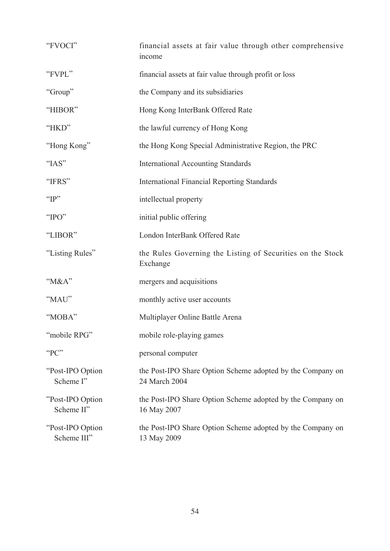| "FVOCI"                          | financial assets at fair value through other comprehensive<br>income        |
|----------------------------------|-----------------------------------------------------------------------------|
| "FVPL"                           | financial assets at fair value through profit or loss                       |
| "Group"                          | the Company and its subsidiaries                                            |
| "HIBOR"                          | Hong Kong InterBank Offered Rate                                            |
| "HKD"                            | the lawful currency of Hong Kong                                            |
| "Hong Kong"                      | the Hong Kong Special Administrative Region, the PRC                        |
| "IAS"                            | <b>International Accounting Standards</b>                                   |
| "IFRS"                           | <b>International Financial Reporting Standards</b>                          |
| " $IP"$                          | intellectual property                                                       |
| "IPO"                            | initial public offering                                                     |
| "LIBOR"                          | London InterBank Offered Rate                                               |
| "Listing Rules"                  | the Rules Governing the Listing of Securities on the Stock<br>Exchange      |
| " $M&A$ "                        | mergers and acquisitions                                                    |
| "MAU"                            | monthly active user accounts                                                |
| "MOBA"                           | Multiplayer Online Battle Arena                                             |
| "mobile RPG"                     | mobile role-playing games                                                   |
| "PC"                             | personal computer                                                           |
| "Post-IPO Option<br>Scheme I"    | the Post-IPO Share Option Scheme adopted by the Company on<br>24 March 2004 |
| "Post-IPO Option"<br>Scheme II"  | the Post-IPO Share Option Scheme adopted by the Company on<br>16 May 2007   |
| "Post-IPO Option"<br>Scheme III" | the Post-IPO Share Option Scheme adopted by the Company on<br>13 May 2009   |